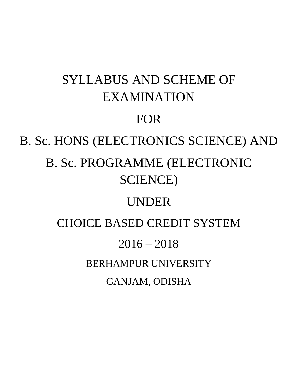# SYLLABUS AND SCHEME OF EXAMINATION FOR B. Sc. HONS (ELECTRONICS SCIENCE) AND B. Sc. PROGRAMME (ELECTRONIC SCIENCE) UNDER CHOICE BASED CREDIT SYSTEM  $2016 - 2018$ BERHAMPUR UNIVERSITY GANJAM, ODISHA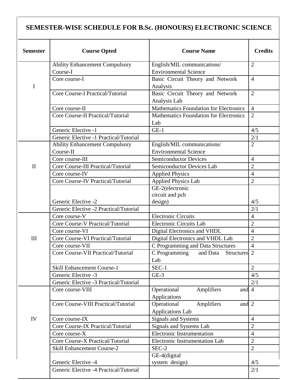# **SEMESTER-WISE SCHEDULE FOR B.Sc. (HONOURS) ELECTRONIC SCIENCE**

| <b>Semester</b> | <b>Course Opted</b>                      | <b>Course Name</b>                            | <b>Credits</b> |
|-----------------|------------------------------------------|-----------------------------------------------|----------------|
| I               | <b>Ability Enhancement Compulsory</b>    | English/MIL communications/                   | $\overline{2}$ |
|                 | Course-I                                 | <b>Environmental Science</b>                  |                |
|                 | Core course-I                            | Basic Circuit Theory and Network              | $\overline{4}$ |
|                 |                                          | Analysis                                      |                |
|                 | <b>Core Course-I Practical/Tutorial</b>  | Basic Circuit Theory and Network              | $\overline{2}$ |
|                 |                                          | Analysis Lab                                  |                |
|                 | Core course-II                           | <b>Mathematics Foundation for Electronics</b> | $\overline{4}$ |
|                 | <b>Core Course-II Practical/Tutorial</b> | Mathematics Foundation for Electronics        | $\overline{2}$ |
|                 |                                          | Lab                                           |                |
|                 | Generic Elective -1                      | $GE-1$                                        | 4/5            |
|                 | Generic Elective -1 Practical/Tutorial   |                                               | 2/1            |
|                 | <b>Ability Enhancement Compulsory</b>    | English/MIL communications/                   | $\overline{2}$ |
|                 | Course-II                                | <b>Environmental Science</b>                  |                |
| $\mathbf{I}$    | Core course-III                          | <b>Semiconductor Devices</b>                  | $\overline{4}$ |
|                 | Core Course-III Practical/Tutorial       | Semiconductor Devices Lab                     | $\overline{2}$ |
|                 | Core course-IV                           | <b>Applied Physics</b>                        | $\overline{4}$ |
|                 | Core Course-IV Practical/Tutorial        | <b>Applied Physics Lab</b>                    | $\overline{2}$ |
|                 |                                          | GE-2(electronic                               |                |
|                 |                                          | circuit and pcb                               |                |
|                 | Generic Elective -2                      | design)                                       | 4/5            |
|                 | Generic Elective -2 Practical/Tutorial   |                                               | 2/1            |
|                 | Core course-V                            | <b>Electronic Circuits</b>                    | $\overline{4}$ |
|                 | Core Course-V Practical/Tutorial         | Electronic Circuits Lab                       | $\overline{2}$ |
|                 | Core course-VI                           | Digital Electronics and VHDL                  | $\overline{4}$ |
| III             | Core Course-VI Practical/Tutorial        | Digital Electronics and VHDL Lab              | $\overline{2}$ |
|                 | Core course-VII                          | C Programming and Data Structures             | $\overline{4}$ |
|                 | Core Course-VII Practical/Tutorial       | C Programming and Data Structures 2           |                |
|                 |                                          | Lab                                           |                |
|                 | <b>Skill Enhancement Course-1</b>        | $SEC-1$                                       | $\overline{2}$ |
|                 | Generic Elective -3                      | $GE-3$                                        | 4/5            |
|                 | Generic Elective -3 Practical/Tutorial   |                                               | 2/1            |
|                 | Core course-VIII                         | Operational<br>Amplifiers<br>and 4            |                |
|                 |                                          | Applications                                  |                |
|                 | Core Course-VIII Practical/Tutorial      | Operational<br>Amplifiers<br>and 2            |                |
|                 |                                          | <b>Applications Lab</b>                       |                |
| IV              | Core course-IX                           | Signals and Systems                           | $\overline{4}$ |
|                 | Core Course-IX Practical/Tutorial        | Signals and Systems Lab                       | $\overline{2}$ |
|                 | Core course-X                            | Electronic Instrumentation                    | $\overline{4}$ |
|                 | Core Course-X Practical/Tutorial         | Electronic Instrumentation Lab                | $\overline{2}$ |
|                 | <b>Skill Enhancement Course-2</b>        | SEC-2                                         | $\overline{2}$ |
|                 |                                          | GE-4(digital                                  |                |
|                 | Generic Elective -4                      | system design)                                | 4/5            |
|                 | Generic Elective -4 Practical/Tutorial   |                                               | 2/1            |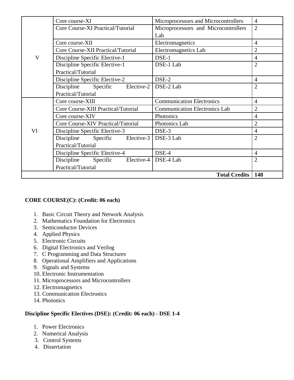| $\overline{\mathsf{V}}$ | Core course-XI                                | Microprocessors and Microcontrollers | $\overline{4}$ |
|-------------------------|-----------------------------------------------|--------------------------------------|----------------|
|                         | Core Course-XI Practical/Tutorial             | Microprocessors and Microcontrollers | $\overline{2}$ |
|                         |                                               | Lab                                  |                |
|                         | Core course-XII                               | Electromagnetics                     | $\overline{4}$ |
|                         | Core Course-XII Practical/Tutorial            | Electromagnetics Lab                 | $\overline{2}$ |
|                         | Discipline Specific Elective-1                | DSE-1                                | $\overline{4}$ |
|                         | Discipline Specific Elective-1                | DSE-1 Lab                            | $\overline{2}$ |
|                         | Practical/Tutorial                            |                                      |                |
|                         | Discipline Specific Elective-2                | DSE-2                                | $\overline{4}$ |
|                         | Specific Elective-2   DSE-2 Lab<br>Discipline |                                      | 2              |
|                         | Practical/Tutorial                            |                                      |                |
| VI                      | Core course-XIII                              | <b>Communication Electronics</b>     | $\overline{4}$ |
|                         | Core Course-XIII Practical/Tutorial           | <b>Communication Electronics Lab</b> | $\overline{2}$ |
|                         | Core course-XIV                               | Photonics                            | $\overline{4}$ |
|                         | Core Course-XIV Practical/Tutorial            | Photonics Lab                        | $\overline{2}$ |
|                         | Discipline Specific Elective-3                | DSE-3                                | $\overline{4}$ |
|                         | Discipline<br>Elective- $3$<br>Specific       | DSE-3 Lab                            | $\overline{2}$ |
|                         | Practical/Tutorial                            |                                      |                |
|                         | Discipline Specific Elective-4                | DSE-4                                | $\overline{4}$ |
|                         | Discipline Specific                           | Elective-4   DSE-4 Lab               | $\overline{2}$ |
|                         | Practical/Tutorial                            |                                      |                |
|                         |                                               | <b>Total Credits</b>                 | <b>140</b>     |

# **CORE COURSE(C): (Credit: 06 each)**

- 1. Basic Circuit Theory and Network Analysis
- 2. Mathematics Foundation for Electronics
- 3. Semiconductor Devices
- 4. Applied Physics
- 5. Electronic Circuits
- 6. Digital Electronics and Verilog
- 7. C Programming and Data Structures
- 8. Operational Amplifiers and Applications
- 9. Signals and Systems
- 10. Electronic Instrumentation
- 11. Microprocessors and Microcontrollers
- 12. Electromagnetics
- 13. Communication Electronics
- 14. Photonics

# **Discipline Specific Electives (DSE): (Credit: 06 each) - DSE 1-4**

- 1. Power Electronics
- 2. Numerical Analysis
- 3. Control Systems
- 4. Dissertation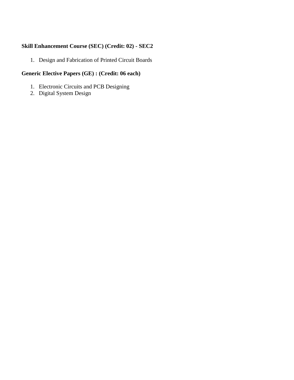# **Skill Enhancement Course (SEC) (Credit: 02) - SEC2**

1. Design and Fabrication of Printed Circuit Boards

# **Generic Elective Papers (GE) : (Credit: 06 each)**

- 1. Electronic Circuits and PCB Designing
- 2. Digital System Design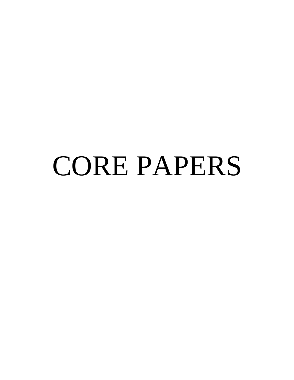# CORE PAPERS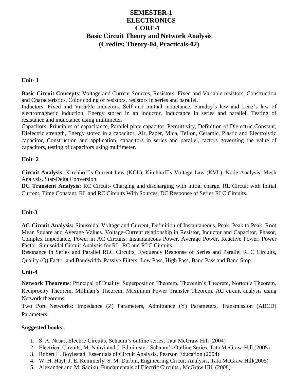# **SEMESTER-1 ELECTRONICS CORE-1 Basic Circuit Theory and Network Analysis (Credits: Theory-04, Practicals-02)**

#### **Unit- 1**

**Basic Circuit Concepts**: Voltage and Current Sources, Resistors: Fixed and Variable resistors, Construction and Characteristics, Color coding of resistors, resistors in series and parallel.

Inductors: Fixed and Variable inductors, Self and mutual inductance, Faraday's law and Lenz's law of electromagnetic induction, Energy stored in an inductor, Inductance in series and parallel, Testing of resistance and inductance using multimeter.

Capacitors: Principles of capacitance, Parallel plate capacitor, Permittivity, Definition of Dielectric Constant, Dielectric strength, Energy stored in a capacitor, Air, Paper, Mica, Teflon, Ceramic, Plastic and Electrolytic capacitor, Construction and application, capacitors in series and parallel, factors governing the value of capacitors, testing of capacitors using multimeter.

#### **Unit- 2**

**Circuit Analysis:** Kirchhoff's Current Law (KCL), Kirchhoff's Voltage Law (KVL), Node Analysis, Mesh Analysis, Star-Delta Conversion.

**DC Transient Analysis:** RC Circuit- Charging and discharging with initial charge, RL Circuit with Initial Current, Time Constant, RL and RC Circuits With Sources, DC Response of Series RLC Circuits.

#### **Unit-3**

**AC Circuit Analysis:** Sinusoidal Voltage and Current, Definition of Instantaneous, Peak, Peak to Peak, Root Mean Square and Average Values. Voltage-Current relationship in Resistor, Inductor and Capacitor, Phasor, Complex Impedance, Power in AC Circuits: Instantaneous Power, Average Power, Reactive Power, Power Factor. Sinusoidal Circuit Analysis for RL, RC and RLC Circuits.

Resonance in Series and Parallel RLC Circuits, Frequency Response of Series and Parallel RLC Circuits, Quality (Q) Factor and Bandwidth. Passive Filters: Low Pass, High Pass, Band Pass and Band Stop.

#### **Unit-4**

**Network Theorems**: Principal of Duality, Superposition Theorem, Thevenin's Theorem, Norton's Theorem, Reciprocity Theorem, Millman's Theorem, Maximum Power Transfer Theorem. AC circuit analysis using Network theorems.

Two Port Networks: Impedance (Z) Parameters, Admittance (Y) Parameters, Transmission (ABCD) Parameters.

#### **Suggested books:**

- 1. S. A. Nasar, Electric Circuits, Schaum's outline series, Tata McGraw Hill (2004)
- 2. Electrical Circuits, M. Nahvi and J. Edminister, Schaum's Outline Series, Tata McGraw-Hill.(2005)
- 3. Robert L. Boylestad, Essentials of Circuit Analysis, Pearson Education (2004)
- 4. W. H. Hayt, J. E. Kemmerly, S. M. Durbin, Engineering Circuit Analysis, Tata McGraw Hill(2005)
- 5. Alexander and M. Sadiku, Fundamentals of Electric Circuits , McGraw Hill (2008)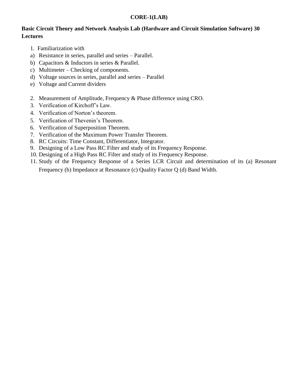# **CORE-1(LAB)**

# **Basic Circuit Theory and Network Analysis Lab (Hardware and Circuit Simulation Software) 30 Lectures**

- 1. Familiarization with
- a) Resistance in series, parallel and series Parallel.
- b) Capacitors & Inductors in series & Parallel.
- c) Multimeter Checking of components.
- d) Voltage sources in series, parallel and series Parallel
- e) Voltage and Current dividers
- 2. Measurement of Amplitude, Frequency & Phase difference using CRO.
- 3. Verification of Kirchoff's Law.
- 4. Verification of Norton's theorem.
- 5. Verification of Thevenin's Theorem.
- 6. Verification of Superposition Theorem.
- 7. Verification of the Maximum Power Transfer Theorem.
- 8. RC Circuits: Time Constant, Differentiator, Integrator.
- 9. Designing of a Low Pass RC Filter and study of its Frequency Response.
- 10. Designing of a High Pass RC Filter and study of its Frequency Response.
- 11. Study of the Frequency Response of a Series LCR Circuit and determination of its (a) Resonant Frequency (b) Impedance at Resonance (c) Quality Factor Q (d) Band Width.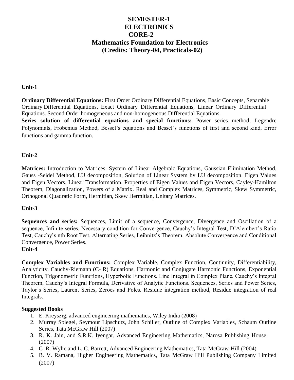# **SEMESTER-1 ELECTRONICS CORE-2 Mathematics Foundation for Electronics (Credits: Theory-04, Practicals-02)**

#### **Unit-1**

Equations. Second Order homogeneous and non-homogeneous Differential Equations. **Series solution of differential equations and special functions:** Power series method, Legendre Polynomials, Frobenius Method, Bessel's equations and Bessel's functions of first and second kind. Error functions and gamma function. **Ordinary Differential Equations:** First Order Ordinary Differential Equations, Basic Concepts, Separable Ordinary Differential Equations, Exact Ordinary Differential Equations, Linear Ordinary Differential

#### **Unit-2**

**Matrices:** Introduction to Matrices, System of Linear Algebraic Equations, Gaussian Elimination Method, Gauss -Seidel Method, LU decomposition, Solution of Linear System by LU decomposition. Eigen Values and Eigen Vectors, Linear Transformation, Properties of Eigen Values and Eigen Vectors, Cayley-Hamilton Theorem, Diagonalization, Powers of a Matrix. Real and Complex Matrices, Symmetric, Skew Symmetric, Orthogonal Quadratic Form, Hermitian, Skew Hermitian, Unitary Matrices.

#### **Unit-3**

**Sequences and series:** Sequences, Limit of a sequence, Convergence, Divergence and Oscillation of a sequence, Infinite series, Necessary condition for Convergence, Cauchy's Integral Test, D'Alembert's Ratio Test, Cauchy's nth Root Test, Alternating Series, Leibnitz's Theorem, Absolute Convergence and Conditional Convergence, Power Series.

#### **Unit-4**

**Complex Variables and Functions:** Complex Variable, Complex Function, Continuity, Differentiability, Analyticity. Cauchy-Riemann (C- R) Equations, Harmonic and Conjugate Harmonic Functions, Exponential Function, Trigonometric Functions, Hyperbolic Functions. Line Integral in Complex Plane, Cauchy's Integral Theorem, Cauchy's Integral Formula, Derivative of Analytic Functions. Sequences, Series and Power Series, Taylor's Series, Laurent Series, Zeroes and Poles. Residue integration method, Residue integration of real Integrals.

#### **Suggested Books**

- 1. E. Kreyszig, advanced engineering mathematics, Wiley India (2008)
- 2. Murray Spiegel, Seymour Lipschutz, John Schiller, Outline of Complex Variables, Schaum Outline Series, Tata McGraw Hill (2007)
- 3. R. K. Jain, and S.R.K. Iyengar, Advanced Engineering Mathematics, Narosa Publishing House (2007)
- 4. C .R. Wylie and L. C. Barrett, Advanced Engineering Mathematics, Tata McGraw-Hill (2004)
- 5. B. V. Ramana, Higher Engineering Mathematics, Tata McGraw Hill Publishing Company Limited (2007)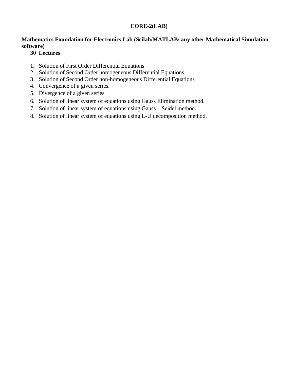# **CORE-2(LAB)**

# **Mathematics Foundation for Electronics Lab (Scilab/MATLAB/ any other Mathematical Simulation software)**

# **30 Lectures**

- 1. Solution of First Order Differential Equations
- 2. Solution of Second Order homogeneous Differential Equations
- 3. Solution of Second Order non-homogeneous Differential Equations
- 4. Convergence of a given series.
- 5. Divergence of a given series.
- 6. Solution of linear system of equations using Gauss Elimination method.
- 7. Solution of linear system of equations using Gauss Seidel method.
- 8. Solution of linear system of equations using L-U decomposition method.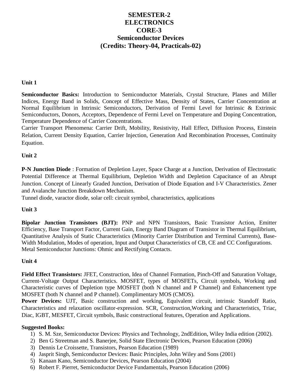# **SEMESTER-2 ELECTRONICS CORE-3 Semiconductor Devices (Credits: Theory-04, Practicals-02)**

#### **Unit 1**

**Semiconductor Basics:** Introduction to Semiconductor Materials, Crystal Structure, Planes and Miller Indices, Energy Band in Solids, Concept of Effective Mass, Density of States, Carrier Concentration at Normal Equilibrium in Intrinsic Semiconductors, Derivation of Fermi Level for Intrinsic & Extrinsic Semiconductors, Donors, Acceptors, Dependence of Fermi Level on Temperature and Doping Concentration, Temperature Dependence of Carrier Concentrations.

Carrier Transport Phenomena: Carrier Drift, Mobility, Resistivity, Hall Effect, Diffusion Process, Einstein Relation, Current Density Equation, Carrier Injection, Generation And Recombination Processes, Continuity Equation.

# **Unit 2**

**P-N Junction Diode** : Formation of Depletion Layer, Space Charge at a Junction, Derivation of Electrostatic Potential Difference at Thermal Equilibrium, Depletion Width and Depletion Capacitance of an Abrupt Junction. Concept of Linearly Graded Junction, Derivation of Diode Equation and I-V Characteristics. Zener and Avalanche Junction Breakdown Mechanism.

Tunnel diode, varactor diode, solar cell: circuit symbol, characteristics, applications

# **Unit 3**

**Bipolar Junction Transistors (BJT):** PNP and NPN Transistors, Basic Transistor Action, Emitter Efficiency, Base Transport Factor, Current Gain, Energy Band Diagram of Transistor in Thermal Equilibrium, Quantitative Analysis of Static Characteristics (Minority Carrier Distribution and Terminal Currents), Base-Width Modulation, Modes of operation, Input and Output Characteristics of CB, CE and CC Configurations. Metal Semiconductor Junctions: Ohmic and Rectifying Contacts.

# **Unit 4**

**Field Effect Transistors:** JFET, Construction, Idea of Channel Formation, Pinch-Off and Saturation Voltage, Current-Voltage Output Characteristics. MOSFET, types of MOSFETs, Circuit symbols, Working and Characteristic curves of Depletion type MOSFET (both N channel and P Channel) and Enhancement type MOSFET (both N channel and P channel). Complimentary MOS (CMOS).

**Power Devices:** UJT, Basic construction and working, Equivalent circuit, intrinsic Standoff Ratio, Characteristics and relaxation oscillator-expression. SCR, Construction,Working and Characteristics, Triac, Diac, IGBT, MESFET, Circuit symbols, Basic constructional features, Operation and Applications.

#### **Suggested Books:**

- 1) S. M. Sze, Semiconductor Devices: Physics and Technology, 2ndEdition, Wiley India edition (2002).
- 2) Ben G Streetman and S. Banerjee, Solid State Electronic Devices, Pearson Education (2006)
- 3) Dennis Le Croissette, Transistors, Pearson Education (1989)
- 4) Jasprit Singh, Semiconductor Devices: Basic Principles, John Wiley and Sons (2001)
- 5) Kanaan Kano, Semiconductor Devices, Pearson Education (2004)
- 6) Robert F. Pierret, Semiconductor Device Fundamentals, Pearson Education (2006)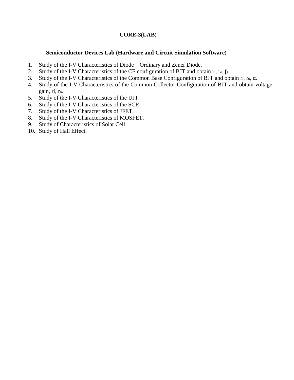# **CORE-3(LAB)**

#### **Semiconductor Devices Lab (Hardware and Circuit Simulation Software)**

- 1. Study of the I-V Characteristics of Diode Ordinary and Zener Diode.
- 2. Study of the I-V Characteristics of the CE configuration of BJT and obtain ri, ro, β.
- 3. Study of the I-V Characteristics of the Common Base Configuration of BJT and obtain ri, ro, α.
- 4. Study of the I-V Characteristics of the Common Collector Configuration of BJT and obtain voltage gain, ri, ro.
- 5. Study of the I-V Characteristics of the UJT.
- 6. Study of the I-V Characteristics of the SCR.
- 7. Study of the I-V Characteristics of JFET.
- 8. Study of the I-V Characteristics of MOSFET.
- 9. Study of Characteristics of Solar Cell
- 10. Study of Hall Effect.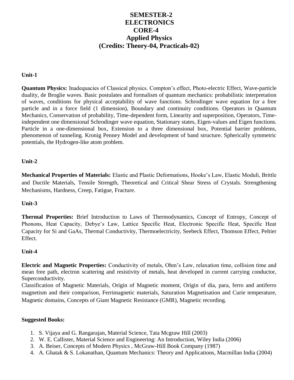# **SEMESTER-2 ELECTRONICS CORE-4 Applied Physics (Credits: Theory-04, Practicals-02)**

#### **Unit-1**

**Quantum Physics:** Inadequacies of Classical physics. Compton's effect, Photo-electric Effect, Wave-particle duality, de Broglie waves. Basic postulates and formalism of quantum mechanics: probabilistic interpretation of waves, conditions for physical acceptability of wave functions. Schrodinger wave equation for a free particle and in a force field (1 dimension), Boundary and continuity conditions. Operators in Quantum Mechanics, Conservation of probability, Time-dependent form, Linearity and superposition, Operators, Timeindependent one dimensional Schrodinger wave equation, Stationary states, Eigen-values and Eigen functions. Particle in a one-dimensional box, Extension to a three dimensional box, Potential barrier problems, phenomenon of tunneling. Kronig Penney Model and development of band structure. Spherically symmetric potentials, the Hydrogen-like atom problem.

#### **Unit-2**

**Mechanical Properties of Materials:** Elastic and Plastic Deformations, Hooke's Law, Elastic Moduli, Brittle and Ductile Materials, Tensile Strength, Theoretical and Critical Shear Stress of Crystals. Strengthening Mechanisms, Hardness, Creep, Fatigue, Fracture.

#### **Unit-3**

**Thermal Properties:** Brief Introduction to Laws of Thermodynamics, Concept of Entropy, Concept of Phonons, Heat Capacity, Debye's Law, Lattice Specific Heat, Electronic Specific Heat, Specific Heat Capacity for Si and GaAs, Thermal Conductivity, Thermoelectricity, Seebeck Effect, Thomson Effect, Peltier Effect.

#### **Unit-4**

**Electric and Magnetic Properties:** Conductivity of metals, Ohm's Law, relaxation time, collision time and mean free path, electron scattering and resistivity of metals, heat developed in current carrying conductor, Superconductivity.

Classification of Magnetic Materials, Origin of Magnetic moment, Origin of dia, para, ferro and antiferro magnetism and their comparison, Ferrimagnetic materials, Saturation Magnetisation and Curie temperature, Magnetic domains, Concepts of Giant Magnetic Resistance (GMR), Magnetic recording.

#### **Suggested Books:**

- 1. S. Vijaya and G. Rangarajan, Material Science, Tata Mcgraw Hill (2003)
- 2. W. E. Callister, Material Science and Engineering: An Introduction, Wiley India (2006)
- 3. A. Beiser, Concepts of Modern Physics , McGraw-Hill Book Company (1987)
- 4. A. Ghatak & S. Lokanathan, Quantum Mechanics: Theory and Applications, Macmillan India (2004)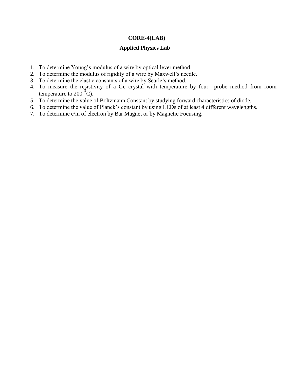#### **CORE-4(LAB)**

#### **Applied Physics Lab**

- 1. To determine Young's modulus of a wire by optical lever method.
- 2. To determine the modulus of rigidity of a wire by Maxwell's needle.
- 3. To determine the elastic constants of a wire by Searle's method.
- 4. To measure the resistivity of a Ge crystal with temperature by four –probe method from room temperature to  $200<sup>0</sup>C$ ).
- 5. To determine the value of Boltzmann Constant by studying forward characteristics of diode.
- 6. To determine the value of Planck's constant by using LEDs of at least 4 different wavelengths.
- 7. To determine e/m of electron by Bar Magnet or by Magnetic Focusing.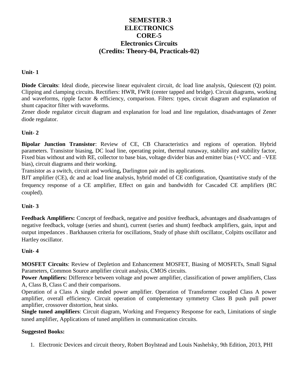# **SEMESTER-3 ELECTRONICS CORE-5 Electronics Circuits (Credits: Theory-04, Practicals-02)**

# **Unit- 1**

**Diode Circuits**: Ideal diode, piecewise linear equivalent circuit, dc load line analysis, Quiescent (Q) point. Clipping and clamping circuits. Rectifiers: HWR, FWR (center tapped and bridge). Circuit diagrams, working and waveforms, ripple factor & efficiency, comparison. Filters: types, circuit diagram and explanation of shunt capacitor filter with waveforms.

Zener diode regulator circuit diagram and explanation for load and line regulation, disadvantages of Zener diode regulator.

# **Unit- 2**

**Bipolar Junction Transistor**: Review of CE, CB Characteristics and regions of operation. Hybrid parameters. Transistor biasing, DC load line, operating point, thermal runaway, stability and stability factor, Fixed bias without and with RE, collector to base bias, voltage divider bias and emitter bias (+VCC and –VEE bias), circuit diagrams and their working.

Transistor as a switch, circuit and working**,** Darlington pair and its applications.

BJT amplifier (CE), dc and ac load line analysis, hybrid model of CE configuration, Quantitative study of the frequency response of a CE amplifier, Effect on gain and bandwidth for Cascaded CE amplifiers (RC coupled).

# **Unit- 3**

**Feedback Amplifiers:** Concept of feedback, negative and positive feedback, advantages and disadvantages of negative feedback, voltage (series and shunt), current (series and shunt) feedback amplifiers, gain, input and output impedances . Barkhausen criteria for oscillations, Study of phase shift oscillator, Colpitts oscillator and Hartley oscillator.

# **Unit- 4**

**MOSFET Circuits**: Review of Depletion and Enhancement MOSFET, Biasing of MOSFETs, Small Signal Parameters, Common Source amplifier circuit analysis, CMOS circuits.

**Power Amplifiers:** Difference between voltage and power amplifier, classification of power amplifiers, Class A, Class B, Class C and their comparisons.

Operation of a Class A single ended power amplifier. Operation of Transformer coupled Class A power amplifier, overall efficiency. Circuit operation of complementary symmetry Class B push pull power amplifier, crossover distortion, heat sinks.

**Single tuned amplifiers**: Circuit diagram, Working and Frequency Response for each, Limitations of single tuned amplifier, Applications of tuned amplifiers in communication circuits.

# **Suggested Books:**

1. Electronic Devices and circuit theory, Robert Boylstead and Louis Nashelsky, 9th Edition, 2013, PHI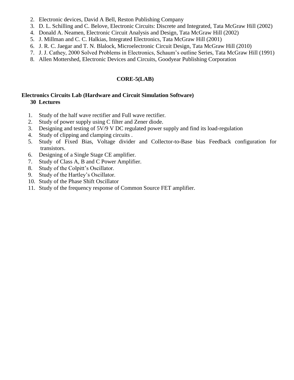- 2. Electronic devices, David A Bell, Reston Publishing Company
- 3. D. L. Schilling and C. Belove, Electronic Circuits: Discrete and Integrated, Tata McGraw Hill (2002)
- 4. Donald A. Neamen, Electronic Circuit Analysis and Design, Tata McGraw Hill (2002)
- 5. J. Millman and C. C. Halkias, Integrated Electronics, Tata McGraw Hill (2001)
- 6. J. R. C. Jaegar and T. N. Blalock, Microelectronic Circuit Design, Tata McGraw Hill (2010)
- 7. J. J. Cathey, 2000 Solved Problems in Electronics, Schaum's outline Series, Tata McGraw Hill (1991)
- 8. Allen Mottershed, Electronic Devices and Circuits, Goodyear Publishing Corporation

# **CORE-5(LAB)**

# **Electronics Circuits Lab (Hardware and Circuit Simulation Software) 30 Lectures**

- 1. Study of the half wave rectifier and Full wave rectifier.
- 2. Study of power supply using C filter and Zener diode.
- 3. Designing and testing of 5V/9 V DC regulated power supply and find its load-regulation
- 4. Study of clipping and clamping circuits .
- 5. Study of Fixed Bias, Voltage divider and Collector-to-Base bias Feedback configuration for transistors.
- 6. Designing of a Single Stage CE amplifier.
- 7. Study of Class A, B and C Power Amplifier.
- 8. Study of the Colpitt's Oscillator.
- 9. Study of the Hartley's Oscillator.
- 10. Study of the Phase Shift Oscillator
- 11. Study of the frequency response of Common Source FET amplifier.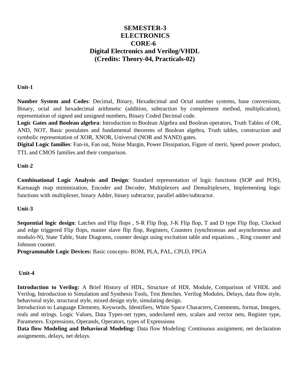# **SEMESTER-3 ELECTRONICS CORE-6 Digital Electronics and Verilog/VHDL (Credits: Theory-04, Practicals-02)**

# **Unit-1**

**Number System and Codes**: Decimal, Binary, Hexadecimal and Octal number systems, base conversions, Binary, octal and hexadecimal arithmetic (addition, subtraction by complement method, multiplication), representation of signed and unsigned numbers, Binary Coded Decimal code.

**Logic Gates and Boolean algebra**: Introduction to Boolean Algebra and Boolean operators, Truth Tables of OR, AND, NOT, Basic postulates and fundamental theorems of Boolean algebra, Truth tables, construction and symbolic representation of XOR, XNOR, Universal (NOR and NAND) gates.

**Digital Logic families**: Fan-in, Fan out, Noise Margin, Power Dissipation, Figure of merit, Speed power product, TTL and CMOS families and their comparison.

# **Unit-2**

**Combinational Logic Analysis and Design**: Standard representation of logic functions (SOP and POS), Karnaugh map minimization, Encoder and Decoder, Multiplexers and Demultiplexers, Implementing logic functions with multiplexer, binary Adder, binary subtractor, parallel adder/subtractor.

# **Unit-3**

**Sequential logic design**: Latches and Flip flops , S-R Flip flop, J-K Flip flop, T and D type Flip flop, Clocked and edge triggered Flip flops, master slave flip flop, Registers, Counters (synchronous and asynchronous and modulo-N), State Table, State Diagrams, counter design using excitation table and equations. , Ring counter and Johnson counter.

**Programmable Logic Devices:** Basic concepts- ROM, PLA, PAL, CPLD, FPGA

# **Unit-4**

**Introduction to Verilog:** A Brief History of HDL, Structure of HDL Module, Comparison of VHDL and Verilog, Introduction to Simulation and Synthesis Tools, Test Benches. Verilog Modules, Delays, data flow style, behavioral style, structural style, mixed design style, simulating design.

Introduction to Language Elements, Keywords, Identifiers, White Space Characters, Comments, format, Integers, reals and strings. Logic Values, Data Types-net types, undeclared nets, scalars and vector nets, Register type, Parameters. Expressions, Operands, Operators, types of Expressions

**Data flow Modeling and Behavioral Modeling:** Data flow Modeling: Continuous assignment, net declaration assignments, delays, net delays.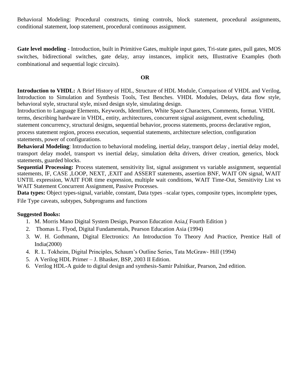Behavioral Modeling: Procedural constructs, timing controls, block statement, procedural assignments, conditional statement, loop statement, procedural continuous assignment.

**Gate level modeling** - Introduction, built in Primitive Gates, multiple input gates, Tri-state gates, pull gates, MOS switches, bidirectional switches, gate delay, array instances, implicit nets, Illustrative Examples (both combinational and sequential logic circuits).

#### **OR**

**Introduction to VHDL:** A Brief History of HDL, Structure of HDL Module, Comparison of VHDL and Verilog, Introduction to Simulation and Synthesis Tools, Test Benches. VHDL Modules, Delays, data flow style, behavioral style, structural style, mixed design style, simulating design.

Introduction to Language Elements, Keywords, Identifiers, White Space Characters, Comments, format. VHDL terms, describing hardware in VHDL, entity, architectures, concurrent signal assignment, event scheduling, statement concurrency, structural designs, sequential behavior, process statements, process declarative region, process statement region, process execution, sequential statements, architecture selection, configuration statements, power of configurations.

**Behavioral Modeling**: Introduction to behavioral modeling, inertial delay, transport delay , inertial delay model, transport delay model, transport vs inertial delay, simulation delta drivers, driver creation, generics, block statements, guarded blocks.

**Sequential Processing:** Process statement, sensitivity list, signal assignment vs variable assignment, sequential statements, IF, CASE ,LOOP, NEXT, ,EXIT and ASSERT statements, assertion BNF, WAIT ON signal, WAIT UNTIL expression, WAIT FOR time expression, multiple wait conditions, WAIT Time-Out, Sensitivity List vs WAIT Statement Concurrent Assignment, Passive Processes.

**Data types:** Object types-signal, variable, constant, Data types –scalar types, composite types, incomplete types,

File Type caveats, subtypes, Subprograms and functions

# **Suggested Books:**

- 1. M. Morris Mano Digital System Design, Pearson Education Asia,( Fourth Edition )
- 2. Thomas L. Flyod, Digital Fundamentals, Pearson Education Asia (1994)
- 3. W. H. Gothmann, Digital Electronics: An Introduction To Theory And Practice, Prentice Hall of India(2000)
- 4. R. L. Tokheim, Digital Principles, Schaum's Outline Series, Tata McGraw- Hill (1994)
- 5. A Verilog HDL Primer J. Bhasker, BSP, 2003 II Edition.
- 6. Verilog HDL-A guide to digital design and synthesis-Samir Palnitkar, Pearson, 2nd edition.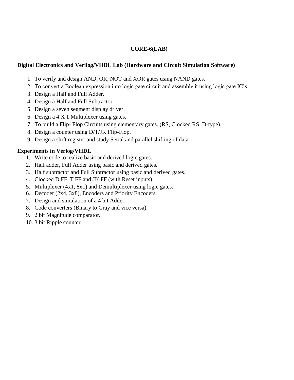# **CORE-6(LAB)**

# **Digital Electronics and Verilog/VHDL Lab (Hardware and Circuit Simulation Software)**

- 1. To verify and design AND, OR, NOT and XOR gates using NAND gates.
- 2. To convert a Boolean expression into logic gate circuit and assemble it using logic gate IC's.
- 3. Design a Half and Full Adder.
- 4. Design a Half and Full Subtractor.
- 5. Design a seven segment display driver.
- 6. Design a 4 X 1 Multiplexer using gates.
- 7. To build a Flip- Flop Circuits using elementary gates. (RS, Clocked RS, D-type).
- 8. Design a counter using D/T/JK Flip-Flop.
- 9. Design a shift register and study Serial and parallel shifting of data.

# **Experiments in Verlog/VHDL**

- 1. Write code to realize basic and derived logic gates.
- 2. Half adder, Full Adder using basic and derived gates.
- 3. Half subtractor and Full Subtractor using basic and derived gates.
- 4. Clocked D FF, T FF and JK FF (with Reset inputs).
- 5. Multiplexer (4x1, 8x1) and Demultiplexer using logic gates.
- 6. Decoder (2x4, 3x8), Encoders and Priority Encoders.
- 7. Design and simulation of a 4 bit Adder.
- 8. Code converters (Binary to Gray and vice versa).
- 9. 2 bit Magnitude comparator.
- 10. 3 bit Ripple counter.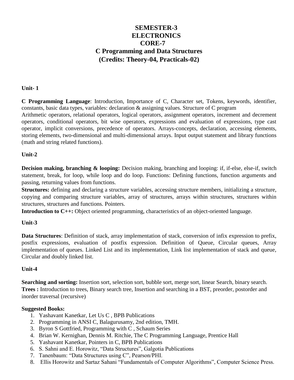# **SEMESTER-3 ELECTRONICS CORE-7 C Programming and Data Structures (Credits: Theory-04, Practicals-02)**

#### **Unit- 1**

**C Programming Language**: Introduction, Importance of C, Character set, Tokens, keywords, identifier, constants, basic data types, variables: declaration & assigning values. Structure of C program

Arithmetic operators, relational operators, logical operators, assignment operators, increment and decrement operators, conditional operators, bit wise operators, expressions and evaluation of expressions, type cast operator, implicit conversions, precedence of operators. Arrays-concepts, declaration, accessing elements, storing elements, two-dimensional and multi-dimensional arrays. Input output statement and library functions (math and string related functions).

#### **Unit-2**

**Decision making, branching & looping:** Decision making, branching and looping: if, if-else, else-if, switch statement, break, for loop, while loop and do loop. Functions: Defining functions, function arguments and passing, returning values from functions.

**Structures:** defining and declaring a structure variables, accessing structure members, initializing a structure, copying and comparing structure variables, array of structures, arrays within structures, structures within structures, structures and functions. Pointers.

**Introduction to C++:** Object oriented programming, characteristics of an object-oriented language.

# **Unit-3**

**Data Structures**: Definition of stack, array implementation of stack, conversion of infix expression to prefix, postfix expressions, evaluation of postfix expression. Definition of Queue, Circular queues, Array implementation of queues. Linked List and its implementation, Link list implementation of stack and queue, Circular and doubly linked list.

# **Unit-4**

**Searching and sorting:** Insertion sort, selection sort, bubble sort, merge sort, linear Search, binary search. **Trees :** Introduction to trees, Binary search tree, Insertion and searching in a BST, preorder, postorder and inorder traversal (recursive)

#### **Suggested Books:**

- 1. Yashavant Kanetkar, Let Us C , BPB Publications
- 2. Programming in ANSI C, Balagurusamy, 2nd edition, TMH.
- 3. Byron S Gottfried, Programming with C , Schaum Series
- 4. Brian W. Kernighan, Dennis M. Ritchie, The C Programming Language, Prentice Hall
- 5. Yashavant Kanetkar, Pointers in C, BPB Publications
- 6. S. Sahni and E. Horowitz, "Data Structures", Galgotia Publications
- 7. Tanenbaum: "Data Structures using C", Pearson/PHI.
- 8. Ellis Horowitz and Sartaz Sahani "Fundamentals of Computer Algorithms", Computer Science Press.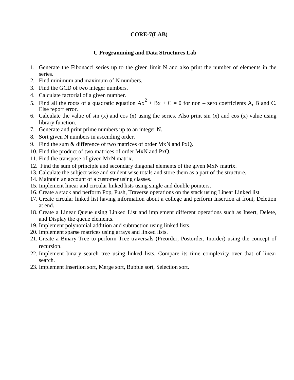# **CORE-7(LAB)**

#### **C Programming and Data Structures Lab**

- 1. Generate the Fibonacci series up to the given limit N and also print the number of elements in the series.
- 2. Find minimum and maximum of N numbers.
- 3. Find the GCD of two integer numbers.
- 4. Calculate factorial of a given number.
- 5. Find all the roots of a quadratic equation  $Ax^2 + Bx + C = 0$  for non zero coefficients A, B and C. Else report error.
- 6. Calculate the value of sin (x) and cos (x) using the series. Also print sin (x) and cos (x) value using library function.
- 7. Generate and print prime numbers up to an integer N.
- 8. Sort given N numbers in ascending order.
- 9. Find the sum & difference of two matrices of order MxN and PxQ.
- 10. Find the product of two matrices of order MxN and PxQ.
- 11. Find the transpose of given MxN matrix.
- 12. Find the sum of principle and secondary diagonal elements of the given MxN matrix.
- 13. Calculate the subject wise and student wise totals and store them as a part of the structure.
- 14. Maintain an account of a customer using classes.
- 15. Implement linear and circular linked lists using single and double pointers.
- 16. Create a stack and perform Pop, Push, Traverse operations on the stack using Linear Linked list
- 17. Create circular linked list having information about a college and perform Insertion at front, Deletion at end.
- 18. Create a Linear Queue using Linked List and implement different operations such as Insert, Delete, and Display the queue elements.
- 19. Implement polynomial addition and subtraction using linked lists.
- 20. Implement sparse matrices using arrays and linked lists.
- 21. Create a Binary Tree to perform Tree traversals (Preorder, Postorder, Inorder) using the concept of recursion.
- 22. Implement binary search tree using linked lists. Compare its time complexity over that of linear search.
- 23. Implement Insertion sort, Merge sort, Bubble sort, Selection sort.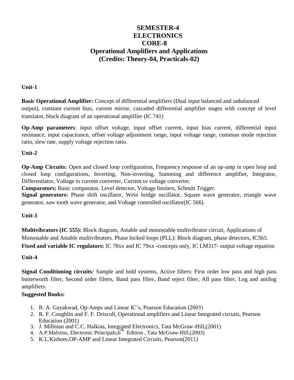# **SEMESTER-4 ELECTRONICS CORE-8 Operational Amplifiers and Applications (Credits: Theory-04, Practicals-02)**

# **Unit-1**

**Basic Operational Amplifier:** Concept of differential amplifiers (Dual input balanced and unbalanced output), constant current bias, current mirror, cascaded differential amplifier stages with concept of level translator, block diagram of an operational amplifier (IC 741)

**Op-Amp parameters**: input offset voltage, input offset current, input bias current, differential input resistance, input capacitance, offset voltage adjustment range, input voltage range, common mode rejection ratio, slew rate, supply voltage rejection ratio.

# **Unit-2**

**Op-Amp Circuits:** Open and closed loop configuration, Frequency response of an op-amp in open loop and closed loop configurations, Inverting, Non-inverting, Summing and difference amplifier, Integrator, Differentiator, Voltage to current converter, Current to voltage converter.

**Comparators:** Basic comparator, Level detector, Voltage limiters, Schmitt Trigger.

**Signal generators:** Phase shift oscillator, Wein bridge oscillator, Square wave generator, triangle wave generator, saw tooth wave generator, and Voltage controlled oscillator(IC 566).

# **Unit-3**

**Multivibrators (IC 555):** Block diagram, Astable and monostable multivibrator circuit, Applications of Monostable and Astable multivibrators. Phase locked loops (PLL): Block diagram, phase detectors, IC565. **Fixed and variable IC regulators:** IC 78xx and IC 79xx -concepts only, IC LM317- output voltage equation

# **Unit-4**

**Signal Conditioning circuits:** Sample and hold systems, Active filters: First order low pass and high pass butterworth filter, Second order filters, Band pass filter, Band reject filter, All pass filter, Log and antilog amplifiers.

# **Suggested Books:**

- 1. R. A. Gayakwad, Op-Amps and Linear IC's, Pearson Education (2003)
- 2. R. F. Coughlin and F. F. Driscoll, Operational amplifiers and Linear Integrated circuits, Pearson Education (2001)
- 3. J. Millman and C.C. Halkias, Integrated Electronics, Tata McGraw-Hill,(2001)<br>4. A.P.Malvino, Electronic Principals,6<sup>th</sup> Edition , Tata McGraw-Hill,(2003)
- 
- 5. K.L.Kishore,OP-AMP and Linear Integrated Circuits, Pearson(2011)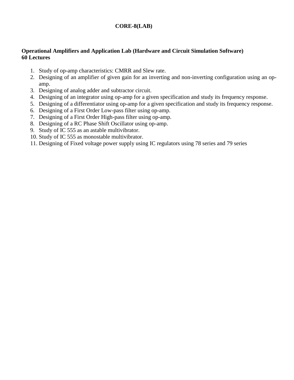# **CORE-8(LAB)**

#### **Operational Amplifiers and Application Lab (Hardware and Circuit Simulation Software) 60 Lectures**

- 1. Study of op-amp characteristics: CMRR and Slew rate.
- 2. Designing of an amplifier of given gain for an inverting and non-inverting configuration using an opamp.
- 3. Designing of analog adder and subtractor circuit.
- 4. Designing of an integrator using op-amp for a given specification and study its frequency response.
- 5. Designing of a differentiator using op-amp for a given specification and study its frequency response.
- 6. Designing of a First Order Low-pass filter using op-amp.
- 7. Designing of a First Order High-pass filter using op-amp.
- 8. Designing of a RC Phase Shift Oscillator using op-amp.
- 9. Study of IC 555 as an astable multivibrator.
- 10. Study of IC 555 as monostable multivibrator.
- 11. Designing of Fixed voltage power supply using IC regulators using 78 series and 79 series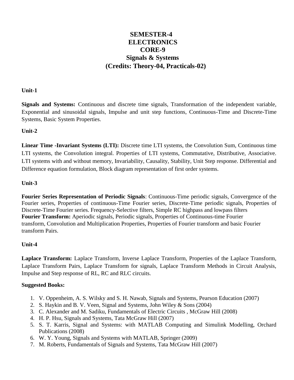# **SEMESTER-4 ELECTRONICS CORE-9 Signals & Systems (Credits: Theory-04, Practicals-02)**

#### **Unit-1**

**Signals and Systems:** Continuous and discrete time signals, Transformation of the independent variable, Exponential and sinusoidal signals, Impulse and unit step functions, Continuous-Time and Discrete-Time Systems, Basic System Properties.

# **Unit-2**

**Linear Time -Invariant Systems (LTI):** Discrete time LTI systems, the Convolution Sum, Continuous time LTI systems, the Convolution integral. Properties of LTI systems, Commutative, Distributive, Associative. LTI systems with and without memory, Invariability, Causality, Stability, Unit Step response. Differential and Difference equation formulation, Block diagram representation of first order systems.

# **Unit-3**

**Fourier Series Representation of Periodic Signals**: Continuous-Time periodic signals, Convergence of the Fourier series, Properties of continuous-Time Fourier series, Discrete-Time periodic signals, Properties of Discrete-Time Fourier series. Frequency-Selective filters, Simple RC highpass and lowpass filters **Fourier Transform:** Aperiodic signals, Periodic signals, Properties of Continuous-time Fourier transform, Convolution and Multiplication Properties, Properties of Fourier transform and basic Fourier transform Pairs.

# **Unit-4**

**Laplace Transform:** Laplace Transform, Inverse Laplace Transform, Properties of the Laplace Transform, Laplace Transform Pairs, Laplace Transform for signals, Laplace Transform Methods in Circuit Analysis, Impulse and Step response of RL, RC and RLC circuits.

#### **Suggested Books:**

- 1. V. Oppenheim, A. S. Wilsky and S. H. Nawab, Signals and Systems, Pearson Education (2007)
- 2. S. Haykin and B. V. Veen, Signal and Systems, John Wiley & Sons (2004)
- 3. C. Alexander and M. Sadiku, Fundamentals of Electric Circuits , McGraw Hill (2008)
- 4. H. P. Hsu, Signals and Systems, Tata McGraw Hill (2007)
- 5. S. T. Karris, Signal and Systems: with MATLAB Computing and Simulink Modelling, Orchard Publications (2008)
- 6. W. Y. Young, Signals and Systems with MATLAB, Springer (2009)
- 7. M. Roberts, Fundamentals of Signals and Systems, Tata McGraw Hill (2007)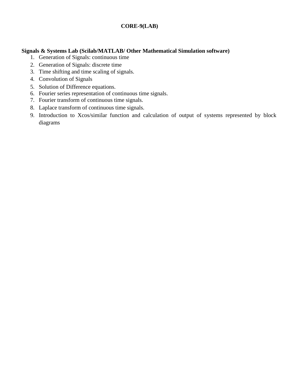# **CORE-9(LAB)**

#### **Signals & Systems Lab (Scilab/MATLAB/ Other Mathematical Simulation software)**

- 1. Generation of Signals: continuous time
- 2. Generation of Signals: discrete time
- 3. Time shifting and time scaling of signals.
- 4. Convolution of Signals
- 5. Solution of Difference equations.
- 6. Fourier series representation of continuous time signals.
- 7. Fourier transform of continuous time signals.
- 8. Laplace transform of continuous time signals.
- 9. Introduction to Xcos/similar function and calculation of output of systems represented by block diagrams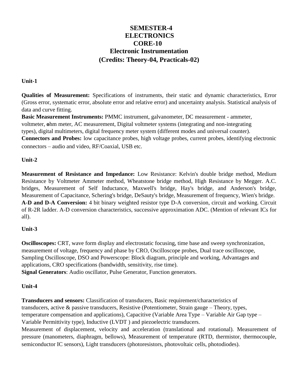# **SEMESTER-4 ELECTRONICS CORE-10 Electronic Instrumentation (Credits: Theory-04, Practicals-02)**

#### **Unit-1**

**Qualities of Measurement:** Specifications of instruments, their static and dynamic characteristics, Error (Gross error, systematic error, absolute error and relative error) and uncertainty analysis. Statistical analysis of data and curve fitting.

**Basic Measurement Instruments:** PMMC instrument, galvanometer, DC measurement - ammeter, voltmeter, **o**hm meter, AC measurement, Digital voltmeter systems (integrating and non-integrating types), digital multimeters, digital frequency meter system (different modes and universal counter).

**Connectors and Probes:** low capacitance probes, high voltage probes, current probes, identifying electronic connectors – audio and video, RF/Coaxial, USB etc.

# **Unit-2**

**Measurement of Resistance and Impedance:** Low Resistance: Kelvin's double bridge method, Medium Resistance by Voltmeter Ammeter method, Wheatstone bridge method, High Resistance by Megger. A.C. bridges, Measurement of Self Inductance, Maxwell's bridge, Hay's bridge, and Anderson's bridge, Measurement of Capacitance, Schering's bridge, DeSauty's bridge, Measurement of frequency, Wien's bridge. **A-D and D-A Conversion:** 4 bit binary weighted resistor type D-A conversion, circuit and working. Circuit of R-2R ladder. A-D conversion characteristics, successive approximation ADC. (Mention of relevant ICs for all).

# **Unit-3**

**Oscilloscopes:** CRT, wave form display and electrostatic focusing, time base and sweep synchronization, measurement of voltage, frequency and phase by CRO, Oscilloscope probes, Dual trace oscilloscope, Sampling Oscilloscope, DSO and Powerscope: Block diagram, principle and working, Advantages and applications, CRO specifications (bandwidth, sensitivity, rise time). **Signal Generators**: Audio oscillator, Pulse Generator, Function generators.

# **Unit-4**

**Transducers and sensors:** Classification of transducers, Basic requirement/characteristics of transducers, active & passive transducers, Resistive (Potentiometer, Strain gauge – Theory, types, temperature compensation and applications), Capacitive (Variable Area Type – Variable Air Gap type – Variable Permittivity type), Inductive (LVDT ) and piezoelectric transducers.

Measurement of displacement, velocity and acceleration (translational and rotational). Measurement of pressure (manometers, diaphragm, bellows), Measurement of temperature (RTD, thermistor, thermocouple, semiconductor IC sensors), Light transducers (photoresistors, photovoltaic cells, photodiodes).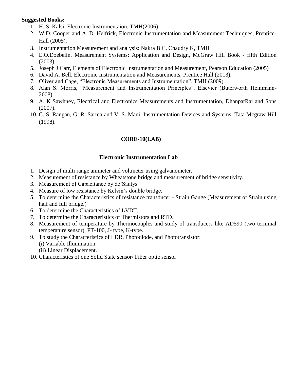#### **Suggested Books:**

- 1. H. S. Kalsi, Electronic Instrumentaion, TMH(2006)
- 2. W.D. Cooper and A. D. Helfrick, Electronic Instrumentation and Measurement Techniques, Prentice-Hall (2005).
- 3. Instrumentation Measurement and analysis: Nakra B C, Chaudry K, TMH
- 4. E.O.Doebelin, Measurement Systems: Application and Design, McGraw Hill Book fifth Edition (2003).
- 5. Joseph J Carr, Elements of Electronic Instrumentation and Measurement, Pearson Education (2005)
- 6. David A. Bell, Electronic Instrumentation and Measurements, Prentice Hall (2013).
- 7. Oliver and Cage, "Electronic Measurements and Instrumentation", TMH (2009).
- 8. Alan S. Morris, "Measurement and Instrumentation Principles", Elsevier (Buterworth Heinmann-2008).
- 9. A. K Sawhney, Electrical and Electronics Measurements and Instrumentation, DhanpatRai and Sons (2007).
- 10. C. S. Rangan, G. R. Sarma and V. S. Mani, Instrumentation Devices and Systems, Tata Mcgraw Hill (1998).

# **CORE-10(LAB)**

# **Electronic Instrumentation Lab**

- 1. Design of multi range ammeter and voltmeter using galvanometer.
- 2. Measurement of resistance by Wheatstone bridge and measurement of bridge sensitivity.
- 3. Measurement of Capacitance by de'Sautys.
- 4. Measure of low resistance by Kelvin's double bridge.
- 5. To determine the Characteristics of resistance transducer Strain Gauge (Measurement of Strain using half and full bridge.)
- 6. To determine the Characteristics of LVDT.
- 7. To determine the Characteristics of Thermistors and RTD.
- 8. Measurement of temperature by Thermocouples and study of transducers like AD590 (two terminal temperature sensor), PT-100, J- type, K-type.
- 9. To study the Characteristics of LDR, Photodiode, and Phototransistor: (i) Variable Illumination.
	- (ii) Linear Displacement.
- 10. Characteristics of one Solid State sensor/ Fiber optic sensor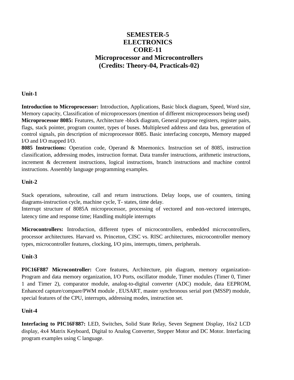# **SEMESTER-5 ELECTRONICS CORE-11 Microprocessor and Microcontrollers (Credits: Theory-04, Practicals-02)**

#### **Unit-1**

**Introduction to Microprocessor:** Introduction, Applications, Basic block diagram, Speed, Word size, Memory capacity, Classification of microprocessors (mention of different microprocessors being used) **Microprocessor 8085:** Features, Architecture -block diagram, General purpose registers, register pairs, flags, stack pointer, program counter, types of buses. Multiplexed address and data bus, generation of control signals, pin description of microprocessor 8085. Basic interfacing concepts, Memory mapped I/O and I/O mapped I/O.

**8085 Instructions:** Operation code, Operand & Mnemonics. Instruction set of 8085, instruction classification, addressing modes, instruction format. Data transfer instructions, arithmetic instructions, increment & decrement instructions, logical instructions, branch instructions and machine control instructions. Assembly language programming examples.

# **Unit-2**

Stack operations, subroutine, call and return instructions. Delay loops, use of counters, timing diagrams-instruction cycle, machine cycle, T- states, time delay.

Interrupt structure of 8085A microprocessor, processing of vectored and non-vectored interrupts, latency time and response time; Handling multiple interrupts

**Microcontrollers:** Introduction, different types of microcontrollers, embedded microcontrollers, processor architectures. Harvard vs. Princeton, CISC vs. RISC architectures, microcontroller memory types, microcontroller features, clocking, I/O pins, interrupts, timers, peripherals.

# **Unit-3**

**PIC16F887 Microcontroller:** Core features, Architecture, pin diagram, memory organization-Program and data memory organization, I/O Ports, oscillator module, Timer modules (Timer 0, Timer 1 and Timer 2), comparator module, analog-to-digital converter (ADC) module, data EEPROM, Enhanced capture/compare/PWM module , EUSART, master synchronous serial port (MSSP) module, special features of the CPU, interrupts, addressing modes, instruction set.

#### **Unit-4**

**Interfacing to PIC16F887:** LED, Switches, Solid State Relay, Seven Segment Display, 16x2 LCD display, 4x4 Matrix Keyboard, Digital to Analog Converter, Stepper Motor and DC Motor. Interfacing program examples using C language.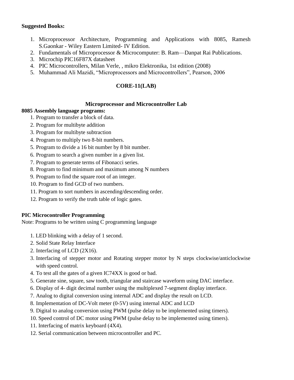#### **Suggested Books:**

- 1. Microprocessor Architecture, Programming and Applications with 8085, Ramesh S.Gaonkar - Wiley Eastern Limited- IV Edition.
- 2. Fundamentals of Microprocessor & Microcomputer: B. Ram—Danpat Rai Publications.
- 3. Microchip PIC16F87X datasheet
- 4. PIC Microcontrollers, Milan Verle, , mikro Elektronika, 1st edition (2008)
- 5. Muhammad Ali Mazidi, "Microprocessors and Microcontrollers", Pearson, 2006

# **CORE-11(LAB)**

# **Microprocessor and Microcontroller Lab**

# **8085 Assembly language programs:**

- 1. Program to transfer a block of data.
- 2. Program for multibyte addition
- 3. Program for multibyte subtraction
- 4. Program to multiply two 8-bit numbers.
- 5. Program to divide a 16 bit number by 8 bit number.
- 6. Program to search a given number in a given list.
- 7. Program to generate terms of Fibonacci series.
- 8. Program to find minimum and maximum among N numbers
- 9. Program to find the square root of an integer.
- 10. Program to find GCD of two numbers.
- 11. Program to sort numbers in ascending/descending order.
- 12. Program to verify the truth table of logic gates.

# **PIC Microcontroller Programming**

Note: Programs to be written using C programming language

- 1. LED blinking with a delay of 1 second.
- 2. Solid State Relay Interface
- 2. Interfacing of LCD (2X16).
- 3. Interfacing of stepper motor and Rotating stepper motor by N steps clockwise/anticlockwise with speed control.
- 4. To test all the gates of a given IC74XX is good or bad.
- 5. Generate sine, square, saw tooth, triangular and staircase waveform using DAC interface.
- 6. Display of 4- digit decimal number using the multiplexed 7-segment display interface.
- 7. Analog to digital conversion using internal ADC and display the result on LCD.
- 8. Implementation of DC-Volt meter (0-5V) using internal ADC and LCD
- 9. Digital to analog conversion using PWM (pulse delay to be implemented using timers).
- 10. Speed control of DC motor using PWM (pulse delay to be implemented using timers).
- 11. Interfacing of matrix keyboard (4X4).
- 12. Serial communication between microcontroller and PC.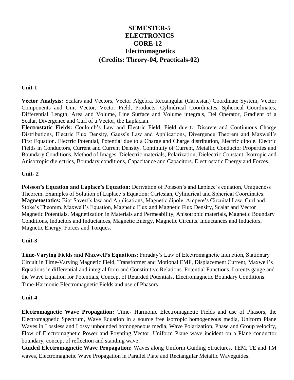# **SEMESTER-5 ELECTRONICS CORE-12 Electromagnetics (Credits: Theory-04, Practicals-02)**

#### **Unit-1**

**Vector Analysis:** Scalars and Vectors, Vector Algebra, Rectangular (Cartesian) Coordinate System, Vector Components and Unit Vector, Vector Field, Products, Cylindrical Coordinates, Spherical Coordinates, Differential Length, Area and Volume, Line Surface and Volume integrals, Del Operator, Gradient of a Scalar, Divergence and Curl of a Vector, the Laplacian.

**Electrostatic Fields:** Coulomb's Law and Electric Field, Field due to Discrete and Continuous Charge Distributions, Electric Flux Density, Gauss's Law and Applications, Divergence Theorem and Maxwell's First Equation. Electric Potential, Potential due to a Charge and Charge distribution, Electric dipole. Electric Fields in Conductors, Current and Current Density, Continuity of Current, Metallic Conductor Properties and Boundary Conditions, Method of Images. Dielectric materials, Polarization, Dielectric Constant, Isotropic and Anisotropic dielectrics, Boundary conditions, Capacitance and Capacitors. Electrostatic Energy and Forces.

#### **Unit- 2**

**Poisson's Equation and Laplace's Equation:** Derivation of Poisson's and Laplace's equation, Uniqueness Theorem, Examples of Solution of Laplace's Equation: Cartesian, Cylindrical and Spherical Coordinates. **Magnetostatics:** Biot Savert's law and Applications, Magnetic dipole, Ampere's Circuital Law, Curl and Stoke's Theorem, Maxwell's Equation, Magnetic Flux and Magnetic Flux Density, Scalar and Vector Magnetic Potentials. Magnetization in Materials and Permeability, Anisotropic materials, Magnetic Boundary Conditions, Inductors and Inductances, Magnetic Energy, Magnetic Circuits. Inductances and Inductors, Magnetic Energy, Forces and Torques.

# **Unit-3**

**Time-Varying Fields and Maxwell's Equations:** Faraday's Law of Electromagnetic Induction, Stationary Circuit in Time-Varying Magnetic Field, Transformer and Motional EMF, Displacement Current, Maxwell's Equations in differential and integral form and Constitutive Relations. Potential Functions, Lorentz gauge and the Wave Equation for Potentials, Concept of Retarded Potentials. Electromagnetic Boundary Conditions. Time-Harmonic Electromagnetic Fields and use of Phasors

# **Unit-4**

**Electromagnetic Wave Propagation:** Time- Harmonic Electromagnetic Fields and use of Phasors, the Electromagnetic Spectrum, Wave Equation in a source free isotropic homogeneous media, Uniform Plane Waves in Lossless and Lossy unbounded homogeneous media, Wave Polarization, Phase and Group velocity, Flow of Electromagnetic Power and Poynting Vector. Uniform Plane wave incident on a Plane conductor boundary, concept of reflection and standing wave.

**Guided Electromagnetic Wave Propagation:** Waves along Uniform Guiding Structures, TEM, TE and TM waves, Electromagnetic Wave Propagation in Parallel Plate and Rectangular Metallic Waveguides.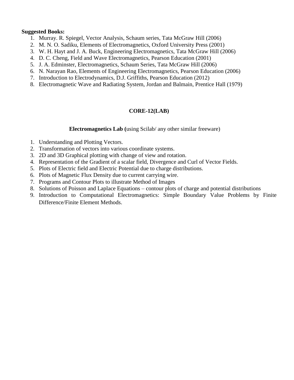#### **Suggested Books:**

- 1. Murray. R. Spiegel, Vector Analysis, Schaum series, Tata McGraw Hill (2006)
- 2. M. N. O. Sadiku, Elements of Electromagnetics, Oxford University Press (2001)
- 3. W. H. Hayt and J. A. Buck, Engineering Electromagnetics, Tata McGraw Hill (2006)
- 4. D. C. Cheng, Field and Wave Electromagnetics, Pearson Education (2001)
- 5. J. A. Edminster, Electromagnetics, Schaum Series, Tata McGraw Hill (2006)
- 6. N. Narayan Rao, Elements of Engineering Electromagnetics, Pearson Education (2006)
- 7. Introduction to Electrodynamics, D.J. Griffiths, Pearson Education (2012)
- 8. Electromagnetic Wave and Radiating System, Jordan and Balmain, Prentice Hall (1979)

# **CORE-12(LAB)**

#### **Electromagnetics Lab (**using Scilab/ any other similar freeware)

- 1. Understanding and Plotting Vectors.
- 2. Transformation of vectors into various coordinate systems.
- 3. 2D and 3D Graphical plotting with change of view and rotation.
- 4. Representation of the Gradient of a scalar field, Divergence and Curl of Vector Fields.
- 5. Plots of Electric field and Electric Potential due to charge distributions.
- 6. Plots of Magnetic Flux Density due to current carrying wire.
- 7. Programs and Contour Plots to illustrate Method of Images
- 8. Solutions of Poisson and Laplace Equations contour plots of charge and potential distributions
- 9. Introduction to Computational Electromagnetics: Simple Boundary Value Problems by Finite Difference/Finite Element Methods.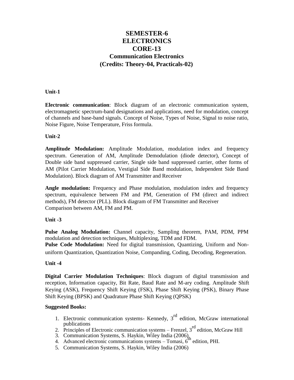# **SEMESTER-6 ELECTRONICS CORE-13 Communication Electronics (Credits: Theory-04, Practicals-02)**

#### **Unit-1**

**Electronic communication**: Block diagram of an electronic communication system, electromagnetic spectrum-band designations and applications, need for modulation, concept of channels and base-band signals. Concept of Noise, Types of Noise, Signal to noise ratio, Noise Figure, Noise Temperature, Friss formula.

#### **Unit-2**

**Amplitude Modulation:** Amplitude Modulation, modulation index and frequency spectrum. Generation of AM, Amplitude Demodulation (diode detector), Concept of Double side band suppressed carrier, Single side band suppressed carrier, other forms of AM (Pilot Carrier Modulation, Vestigial Side Band modulation, Independent Side Band Modulation). Block diagram of AM Transmitter and Receiver

**Angle modulation:** Frequency and Phase modulation, modulation index and frequency spectrum, equivalence between FM and PM, Generation of FM (direct and indirect methods), FM detector (PLL). Block diagram of FM Transmitter and Receiver Comparison between AM, FM and PM.

#### **Unit -3**

**Pulse Analog Modulation:** Channel capacity, Sampling theorem, PAM, PDM, PPM modulation and detection techniques, Multiplexing, TDM and FDM.

**Pulse Code Modulation:** Need for digital transmission, Quantizing, Uniform and Nonuniform Quantization, Quantization Noise, Companding, Coding, Decoding, Regeneration.

#### **Unit -4**

**Digital Carrier Modulation Techniques**: Block diagram of digital transmission and reception, Information capacity, Bit Rate, Baud Rate and M-ary coding. Amplitude Shift Keying (ASK), Frequency Shift Keying (FSK), Phase Shift Keying (PSK), Binary Phase Shift Keying (BPSK) and Quadrature Phase Shift Keying (QPSK)

#### **Suggested Books:**

- 1. Electronic communication systems- Kennedy,  $3<sup>rd</sup>$  edition, McGraw international publications
- 2. Principles of Electronic communication systems Frenzel, 3<sup>rd</sup> edition, McGraw Hill
- 
- 3. Communication Systems, S. Haykin, Wiley India (2006)<br>4. Advanced electronic communications systems Tomasi, 6<sup>th</sup> edition, PHI.
- 5. Communication Systems, S. Haykin, Wiley India (2006)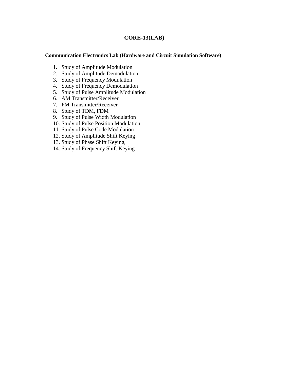#### **CORE-13(LAB)**

#### **Communication Electronics Lab (Hardware and Circuit Simulation Software)**

- 1. Study of Amplitude Modulation
- 2. Study of Amplitude Demodulation
- 3. Study of Frequency Modulation
- 4. Study of Frequency Demodulation
- 5. Study of Pulse Amplitude Modulation
- 6. AM Transmitter/Receiver
- 7. FM Transmitter/Receiver
- 8. Study of TDM, FDM
- 9. Study of Pulse Width Modulation
- 10. Study of Pulse Position Modulation
- 11. Study of Pulse Code Modulation
- 12. Study of Amplitude Shift Keying
- 13. Study of Phase Shift Keying,
- 14. Study of Frequency Shift Keying.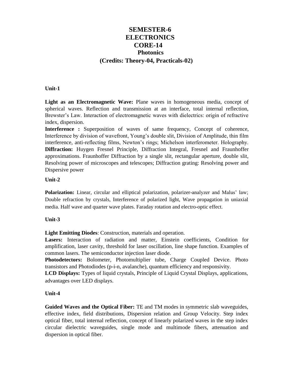# **SEMESTER-6 ELECTRONICS CORE-14 Photonics (Credits: Theory-04, Practicals-02)**

#### **Unit-1**

**Light as an Electromagnetic Wave:** Plane waves in homogeneous media, concept of spherical waves. Reflection and transmission at an interface, total internal reflection, Brewster's Law. Interaction of electromagnetic waves with dielectrics: origin of refractive index, dispersion.

**Interference :** Superposition of waves of same frequency, Concept of coherence, Interference by division of wavefront, Young's double slit, Division of Amplitude, thin film interference, anti-reflecting films, Newton's rings; Michelson interferometer. Holography. **Diffraction:** Huygen Fresnel Principle, Diffraction Integral, Fresnel and Fraunhoffer approximations. Fraunhoffer Diffraction by a single slit, rectangular aperture, double slit, Resolving power of microscopes and telescopes; Diffraction grating: Resolving power and Dispersive power

#### **Unit-2**

**Polarization:** Linear, circular and elliptical polarization, polarizer-analyzer and Malus' law; Double refraction by crystals, Interference of polarized light, Wave propagation in uniaxial media. Half wave and quarter wave plates. Faraday rotation and electro-optic effect.

#### **Unit-3**

**Light Emitting Diodes**: Construction, materials and operation.

**Lasers:** Interaction of radiation and matter, Einstein coefficients, Condition for amplification, laser cavity, threshold for laser oscillation, line shape function. Examples of common lasers. The semiconductor injection laser diode.

**Photodetectors:** Bolometer, Photomultiplier tube, Charge Coupled Device. Photo transistors and Photodiodes (p-i-n, avalanche), quantum efficiency and responsivity.

**LCD Displays:** Types of liquid crystals, Principle of Liquid Crystal Displays, applications, advantages over LED displays.

#### **Unit-4**

**Guided Waves and the Optical Fiber:** TE and TM modes in symmetric slab waveguides, effective index, field distributions, Dispersion relation and Group Velocity. Step index optical fiber, total internal reflection, concept of linearly polarized waves in the step index circular dielectric waveguides, single mode and multimode fibers, attenuation and dispersion in optical fiber.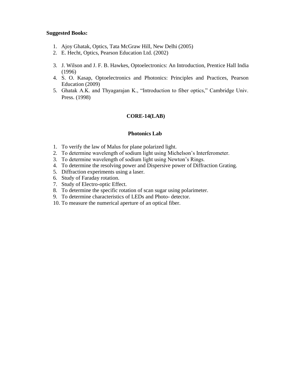#### **Suggested Books:**

- 1. Ajoy Ghatak, Optics, Tata McGraw Hill, New Delhi (2005)
- 2. E. Hecht, Optics, Pearson Education Ltd. (2002)
- 3. J. Wilson and J. F. B. Hawkes, Optoelectronics: An Introduction, Prentice Hall India (1996)
- 4. S. O. Kasap, Optoelectronics and Photonics: Principles and Practices, Pearson Education (2009)
- 5. Ghatak A.K. and Thyagarajan K., "Introduction to fiber optics," Cambridge Univ. Press. (1998)

#### **CORE-14(LAB)**

#### **Photonics Lab**

- 1. To verify the law of Malus for plane polarized light.
- 2. To determine wavelength of sodium light using Michelson's Interferometer.
- 3. To determine wavelength of sodium light using Newton's Rings.
- 4. To determine the resolving power and Dispersive power of Diffraction Grating.
- 5. Diffraction experiments using a laser.
- 6. Study of Faraday rotation.
- 7. Study of Electro-optic Effect.
- 8. To determine the specific rotation of scan sugar using polarimeter.
- 9. To determine characteristics of LEDs and Photo- detector.
- 10. To measure the numerical aperture of an optical fiber.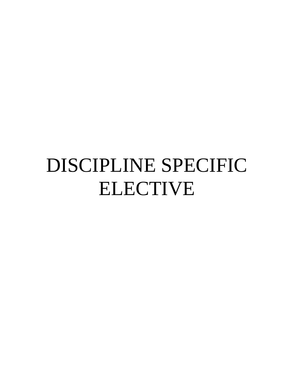# DISCIPLINE SPECIFIC ELECTIVE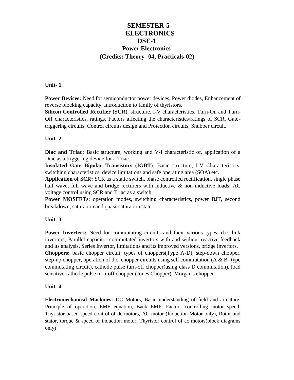# **SEMESTER-5 ELECTRONICS DSE-1 Power Electronics (Credits: Theory- 04, Practicals-02)**

#### **Unit- 1**

**Power Devices:** Need for semiconductor power devices, Power diodes, Enhancement of reverse blocking capacity, Introduction to family of thyristors.

**Silicon Controlled Rectifier (SCR**): structure, I-V characteristics, Turn-On and Turn-Off characteristics, ratings, Factors affecting the characteristics/ratings of SCR, Gatetriggering circuits, Control circuits design and Protection circuits, Snubber circuit.

#### **Unit- 2**

**Diac and Triac:** Basic structure, working and V-I characteristic of, application of a Diac as a triggering device for a Triac.

**Insulated Gate Bipolar Transistors (IGBT**): Basic structure, I-V Characteristics, switching characteristics, device limitations and safe operating area (SOA) etc.

**Application of SCR:** SCR as a static switch, phase controlled rectification, single phase half wave, full wave and bridge rectifiers with inductive  $\&$  non-inductive loads; AC voltage control using SCR and Triac as a switch.

**Power MOSFETs**: operation modes, switching characteristics, power BJT, second breakdown, saturation and quasi-saturation state.

#### **Unit- 3**

**Power Inverters:** Need for commutating circuits and their various types, d.c. link invertors, Parallel capacitor commutated invertors with and without reactive feedback and its analysis, Series Invertor, limitations and its improved versions, bridge invertors.

**Choppers:** basic chopper circuit, types of choppers(Type A-D), step-down chopper, step-up chopper, operation of d.c. chopper circuits using self commutation (A  $\&$  B- type commutating circuit), cathode pulse turn-off chopper(using class D commutation), load sensitive cathode pulse turn-off chopper (Jones Chopper), Morgan's chopper

#### **Unit- 4**

**Electromechanical Machines:** DC Motors, Basic understanding of field and armature, Principle of operation, EMF equation, Back EMF, Factors controlling motor speed, Thyristor based speed control of dc motors, AC motor (Induction Motor only), Rotor and stator, torque & speed of induction motor, Thyristor control of ac motors(block diagrams only)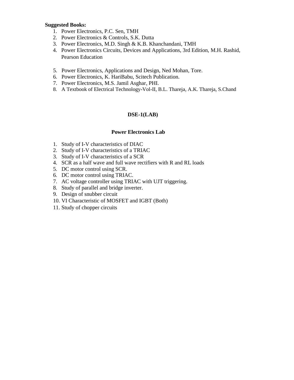#### **Suggested Books:**

- 1. Power Electronics, P.C. Sen, TMH
- 2. Power Electronics & Controls, S.K. Dutta
- 3. Power Electronics, M.D. Singh & K.B. Khanchandani, TMH
- 4. Power Electronics Circuits, Devices and Applications, 3rd Edition, M.H. Rashid, Pearson Education
- 5. Power Electronics, Applications and Design, Ned Mohan, Tore.
- 6. Power Electronics, K. HariBabu, Scitech Publication.
- 7. Power Electronics, M.S. Jamil Asghar, PHI.
- 8. A Textbook of Electrical Technology-Vol-II, B.L. Thareja, A.K. Thareja, S.Chand

#### **DSE-1(LAB)**

#### **Power Electronics Lab**

- 1. Study of I-V characteristics of DIAC
- 2. Study of I-V characteristics of a TRIAC
- 3. Study of I-V characteristics of a SCR
- 4. SCR as a half wave and full wave rectifiers with R and RL loads
- 5. DC motor control using SCR.
- 6. DC motor control using TRIAC.
- 7. AC voltage controller using TRIAC with UJT triggering.
- 8. Study of parallel and bridge inverter.
- 9. Design of snubber circuit
- 10. VI Characteristic of MOSFET and IGBT (Both)
- 11. Study of chopper circuits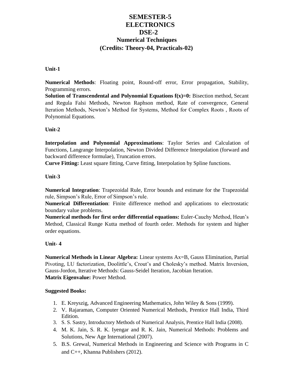# **SEMESTER-5 ELECTRONICS DSE-2 Numerical Techniques (Credits: Theory-04, Practicals-02)**

#### **Unit-1**

**Numerical Methods**: Floating point, Round-off error, Error propagation, Stability, Programming errors.

**Solution of Transcendental and Polynomial Equations**  $f(x)=0$ **:** Bisection method, Secant and Regula Falsi Methods, Newton Raphson method, Rate of convergence, General Iteration Methods, Newton's Method for Systems, Method for Complex Roots , Roots of Polynomial Equations.

#### **Unit-2**

**Interpolation and Polynomial Approximations**: Taylor Series and Calculation of Functions, Langrange Interpolation, Newton Divided Difference Interpolation (forward and backward difference formulae), Truncation errors.

**Curve Fitting:** Least square fitting, Curve fitting, Interpolation by Spline functions.

#### **Unit-3**

**Numerical Integration**: Trapezoidal Rule, Error bounds and estimate for the Trapezoidal rule, Simpson's Rule, Error of Simpson's rule.

**Numerical Differentiation**: Finite difference method and applications to electrostatic boundary value problems.

**Numerical methods for first order differential equations:** Euler-Cauchy Method, Heun's Method, Classical Runge Kutta method of fourth order. Methods for system and higher order equations.

#### **Unit- 4**

**Numerical Methods in Linear Algebra:** Linear systems Ax=B, Gauss Elimination, Partial Pivoting, LU factorization, Doolittle's, Crout's and Cholesky's method. Matrix Inversion, Gauss-Jordon, Iterative Methods: Gauss-Seidel Iteration, Jacobian Iteration. **Matrix Eigenvalue:** Power Method.

#### **Suggested Books:**

- 1. E. Kreyszig, Advanced Engineering Mathematics, John Wiley & Sons (1999).
- 2. V. Rajaraman, Computer Oriented Numerical Methods, Prentice Hall India, Third Edition.
- 3. S. S. Sastry, Introductory Methods of Numerical Analysis, Prentice Hall India (2008).
- 4. M. K. Jain, S. R. K. Iyengar and R. K. Jain, Numerical Methods: Problems and Solutions, New Age International (2007).
- 5. B.S. Grewal, Numerical Methods in Engineering and Science with Programs in C and C++, Khanna Publishers (2012).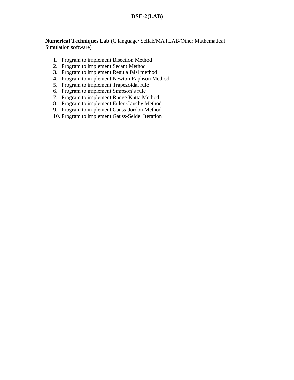# **DSE-2(LAB)**

**Numerical Techniques Lab (**C language**/** Scilab/MATLAB/Other Mathematical Simulation software)

- 1. Program to implement Bisection Method
- 2. Program to implement Secant Method
- 3. Program to implement Regula falsi method
- 4. Program to implement Newton Raphson Method
- 5. Program to implement Trapezoidal rule
- 6. Program to implement Simpson's rule
- 7. Program to implement Runge Kutta Method
- 8. Program to implement Euler-Cauchy Method
- 9. Program to implement Gauss-Jordon Method
- 10. Program to implement Gauss-Seidel Iteration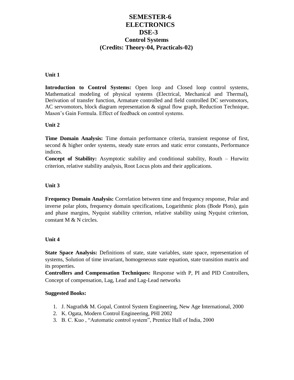# **SEMESTER-6 ELECTRONICS DSE-3 Control Systems (Credits: Theory-04, Practicals-02)**

#### **Unit 1**

**Introduction to Control Systems:** Open loop and Closed loop control systems, Mathematical modeling of physical systems (Electrical, Mechanical and Thermal), Derivation of transfer function, Armature controlled and field controlled DC servomotors, AC servomotors, block diagram representation & signal flow graph, Reduction Technique, Mason's Gain Formula. Effect of feedback on control systems.

#### **Unit 2**

**Time Domain Analysis:** Time domain performance criteria, transient response of first, second & higher order systems, steady state errors and static error constants, Performance indices.

**Concept of Stability:** Asymptotic stability and conditional stability, Routh – Hurwitz criterion, relative stability analysis, Root Locus plots and their applications.

#### **Unit 3**

**Frequency Domain Analysis:** Correlation between time and frequency response, Polar and inverse polar plots, frequency domain specifications, Logarithmic plots (Bode Plots), gain and phase margins, Nyquist stability criterion, relative stability using Nyquist criterion, constant M & N circles.

#### **Unit 4**

**State Space Analysis:** Definitions of state, state variables, state space, representation of systems, Solution of time invariant, homogeneous state equation, state transition matrix and its properties.

**Controllers and Compensation Techniques:** Response with P, PI and PID Controllers, Concept of compensation, Lag, Lead and Lag-Lead networks

#### **Suggested Books:**

- 1. J. Nagrath& M. Gopal, Control System Engineering, New Age International, 2000
- 2. K. Ogata, Modern Control Engineering, PHI 2002
- 3. B. C. Kuo, "Automatic control system", Prentice Hall of India, 2000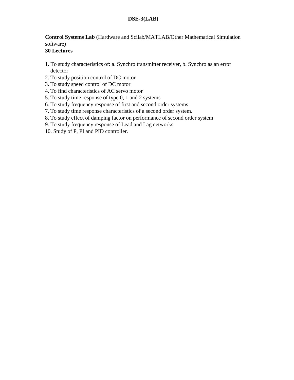# **DSE-3(LAB)**

# **Control Systems Lab** (Hardware and Scilab/MATLAB/Other Mathematical Simulation software)

# **30 Lectures**

- 1. To study characteristics of: a. Synchro transmitter receiver, b. Synchro as an error detector
- 2. To study position control of DC motor
- 3. To study speed control of DC motor
- 4. To find characteristics of AC servo motor
- 5. To study time response of type 0, 1 and 2 systems
- 6. To study frequency response of first and second order systems
- 7. To study time response characteristics of a second order system.
- 8. To study effect of damping factor on performance of second order system
- 9. To study frequency response of Lead and Lag networks.
- 10. Study of P, PI and PID controller.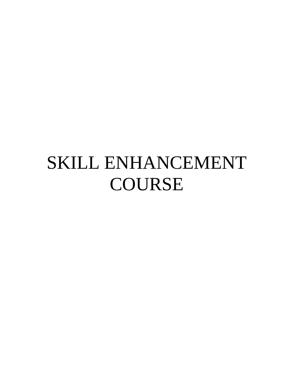# SKILL ENHANCEMENT COURSE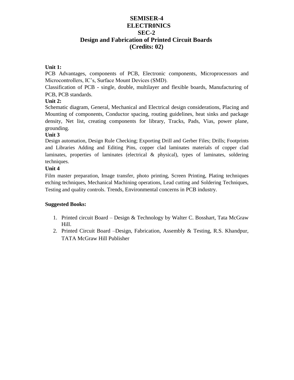# **SEMISER-4 ELECTR0NICS SEC-2 Design and Fabrication of Printed Circuit Boards (Credits: 02)**

#### **Unit 1:**

PCB Advantages, components of PCB, Electronic components, Microprocessors and Microcontrollers, IC's, Surface Mount Devices (SMD).

Classification of PCB - single, double, multilayer and flexible boards, Manufacturing of PCB, PCB standards.

#### **Unit 2:**

Schematic diagram, General, Mechanical and Electrical design considerations, Placing and Mounting of components, Conductor spacing, routing guidelines, heat sinks and package density, Net list, creating components for library, Tracks, Pads, Vias, power plane, grounding.

#### **Unit 3**

Design automation, Design Rule Checking; Exporting Drill and Gerber Files; Drills; Footprints and Libraries Adding and Editing Pins, copper clad laminates materials of copper clad laminates, properties of laminates (electrical & physical), types of laminates, soldering techniques.

#### **Unit 4**

Film master preparation, Image transfer, photo printing, Screen Printing, Plating techniques etching techniques, Mechanical Machining operations, Lead cutting and Soldering Techniques, Testing and quality controls. Trends, Environmental concerns in PCB industry.

#### **Suggested Books:**

- 1. Printed circuit Board Design & Technology by Walter C. Bosshart, Tata McGraw Hill.
- 2. Printed Circuit Board –Design, Fabrication, Assembly & Testing, R.S. Khandpur, TATA McGraw Hill Publisher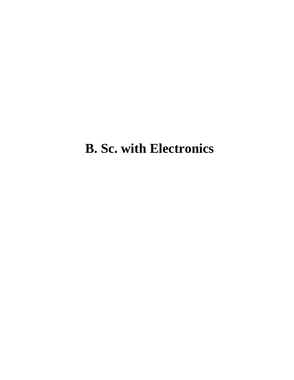# **B. Sc. with Electronics**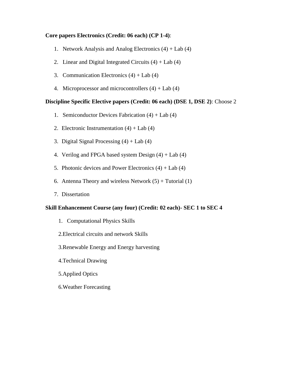#### **Core papers Electronics (Credit: 06 each) (CP 1-4)**:

- 1. Network Analysis and Analog Electronics (4) + Lab (4)
- 2. Linear and Digital Integrated Circuits  $(4) +$  Lab  $(4)$
- 3. Communication Electronics  $(4) +$  Lab  $(4)$
- 4. Microprocessor and microcontrollers  $(4) +$  Lab  $(4)$

#### **Discipline Specific Elective papers (Credit: 06 each) (DSE 1, DSE 2)**: Choose 2

- 1. Semiconductor Devices Fabrication (4) + Lab (4)
- 2. Electronic Instrumentation  $(4) +$  Lab  $(4)$
- 3. Digital Signal Processing  $(4) +$  Lab  $(4)$
- 4. Verilog and FPGA based system Design  $(4) +$  Lab  $(4)$
- 5. Photonic devices and Power Electronics  $(4) +$  Lab  $(4)$
- 6. Antenna Theory and wireless Network  $(5)$  + Tutorial  $(1)$
- 7. Dissertation

#### **Skill Enhancement Course (any four) (Credit: 02 each)- SEC 1 to SEC 4**

- 1. Computational Physics Skills
- 2.Electrical circuits and network Skills
- 3.Renewable Energy and Energy harvesting
- 4.Technical Drawing
- 5.Applied Optics
- 6.Weather Forecasting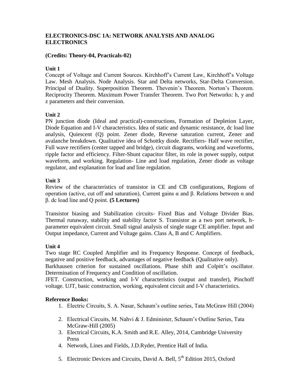# **ELECTRONICS-DSC 1A: NETWORK ANALYSIS AND ANALOG ELECTRONICS**

#### **(Credits: Theory-04, Practicals-02)**

#### **Unit 1**

Concept of Voltage and Current Sources. Kirchhoff's Current Law, Kirchhoff's Voltage Law. Mesh Analysis. Node Analysis. Star and Delta networks, Star-Delta Conversion. Principal of Duality. Superposition Theorem. Thevenin's Theorem. Norton's Theorem. Reciprocity Theorem. Maximum Power Transfer Theorem. Two Port Networks: h, y and z parameters and their conversion.

#### **Unit 2**

PN junction diode (Ideal and practical)-constructions, Formation of Depletion Layer, Diode Equation and I-V characteristics. Idea of static and dynamic resistance, dc load line analysis, Quiescent (Q) point. Zener diode, Reverse saturation current, Zener and avalanche breakdown. Qualitative idea of Schottky diode. Rectifiers- Half wave rectifier, Full wave rectifiers (center tapped and bridge), circuit diagrams, working and waveforms, ripple factor and efficiency. Filter-Shunt capacitor filter, its role in power supply, output waveform, and working. Regulation- Line and load regulation, Zener diode as voltage regulator, and explanation for load and line regulation.

#### **Unit 3**

Review of the characteristics of transistor in CE and CB configurations, Regions of operation (active, cut off and saturation), Current gains α and β. Relations between α and β. dc load line and Q point. **(5 Lectures)**

Transistor biasing and Stabilization circuits- Fixed Bias and Voltage Divider Bias. Thermal runaway, stability and stability factor S. Transistor as a two port network, hparameter equivalent circuit. Small signal analysis of single stage CE amplifier. Input and Output impedance, Current and Voltage gains. Class A, B and C Amplifiers.

# **Unit 4**

Two stage RC Coupled Amplifier and its Frequency Response. Concept of feedback, negative and positive feedback, advantages of negative feedback (Qualitative only).

Barkhausen criterion for sustained oscillations. Phase shift and Colpitt's oscillator. Determination of Frequency and Condition of oscillation.

JFET. Construction, working and I-V characteristics (output and transfer), Pinchoff voltage. UJT, basic construction, working, equivalent circuit and I-V characteristics.

- 1. Electric Circuits, S. A. Nasar, Schaum's outline series, Tata McGraw Hill (2004)
- 2. Electrical Circuits, M. Nahvi & J. Edminister, Schaum's Outline Series, Tata McGraw-Hill (2005)
- 3. Electrical Circuits, K.A. Smith and R.E. Alley, 2014, Cambridge University Press
- 4. Network, Lines and Fields, J.D.Ryder, Prentice Hall of India.
- 5. Electronic Devices and Circuits, David A. Bell, 5<sup>th</sup> Edition 2015, Oxford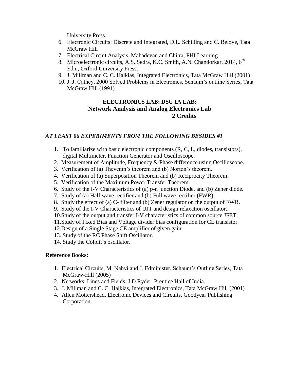University Press.

- 6. Electronic Circuits: Discrete and Integrated, D.L. Schilling and C. Belove, Tata McGraw Hill
- 7. Electrical Circuit Analysis, Mahadevan and Chitra, PHI Learning
- 8. Microelectronic circuits, A.S. Sedra, K.C. Smith, A.N. Chandorkar, 2014, 6<sup>th</sup> Edn., Oxford University Press.
- 9. J. Millman and C. C. Halkias, Integrated Electronics, Tata McGraw Hill (2001)
- 10. J. J. Cathey, 2000 Solved Problems in Electronics, Schaum's outline Series, Tata McGraw Hill (1991)

# **ELECTRONICS LAB: DSC 1A LAB: Network Analysis and Analog Electronics Lab 2 Credits**

#### *AT LEAST 06 EXPERIMENTS FROM THE FOLLOWING BESIDES #1*

- 1. To familiarize with basic electronic components (R, C, L, diodes, transistors), digital Multimeter, Function Generator and Oscilloscope.
- 2. Measurement of Amplitude, Frequency & Phase difference using Oscilloscope.
- 3. Verification of (a) Thevenin's theorem and (b) Norton's theorem.
- 4. Verification of (a) Superposition Theorem and (b) Reciprocity Theorem.
- 5. Verification of the Maximum Power Transfer Theorem.
- 6. Study of the I-V Characteristics of (a) p-n junction Diode, and (b) Zener diode.
- 7. Study of (a) Half wave rectifier and (b) Full wave rectifier (FWR).
- 8. Study the effect of (a) C- filter and (b) Zener regulator on the output of FWR.
- 9. Study of the I-V Characteristics of UJT and design relaxation oscillator..
- 10.Study of the output and transfer I-V characteristics of common source JFET.
- 11.Study of Fixed Bias and Voltage divider bias configuration for CE transistor.
- 12.Design of a Single Stage CE amplifier of given gain.
- 13. Study of the RC Phase Shift Oscillator.
- 14. Study the Colpitt`s oscillator.

- 1. Electrical Circuits, M. Nahvi and J. Edminister, Schaum's Outline Series, Tata McGraw-Hill (2005)
- 2. Networks, Lines and Fields, J.D.Ryder, Prentice Hall of India.
- 3. J. Millman and C. C. Halkias, Integrated Electronics, Tata McGraw Hill (2001)
- 4. Allen Mottershead, Electronic Devices and Circuits, Goodyear Publishing Corporation.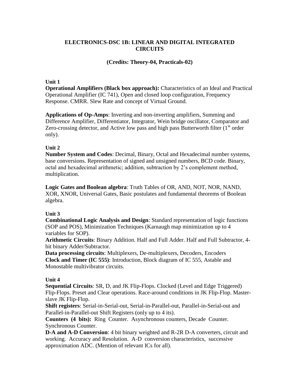# **ELECTRONICS-DSC 1B: LINEAR AND DIGITAL INTEGRATED CIRCUITS**

# **(Credits: Theory-04, Practicals-02)**

#### **Unit 1**

**Operational Amplifiers (Black box approach):** Characteristics of an Ideal and Practical Operational Amplifier (IC 741), Open and closed loop configuration, Frequency Response. CMRR. Slew Rate and concept of Virtual Ground.

**Applications of Op-Amps**: Inverting and non-inverting amplifiers, Summing and Difference Amplifier, Differentiator, Integrator, Wein bridge oscillator, Comparator and Zero-crossing detector, and Active low pass and high pass Butterworth filter  $(1<sup>st</sup>$  order only).

# **Unit 2**

**Number System and Codes**: Decimal, Binary, Octal and Hexadecimal number systems, base conversions. Representation of signed and unsigned numbers, BCD code. Binary, octal and hexadecimal arithmetic; addition, subtraction by 2's complement method, multiplication.

**Logic Gates and Boolean algebra**: Truth Tables of OR, AND, NOT, NOR, NAND, XOR, XNOR, Universal Gates, Basic postulates and fundamental theorems of Boolean algebra.

# **Unit 3**

**Combinational Logic Analysis and Design**: Standard representation of logic functions (SOP and POS), Minimization Techniques (Karnaugh map minimization up to 4 variables for SOP).

**Arithmetic Circuits**: Binary Addition. Half and Full Adder. Half and Full Subtractor, 4 bit binary Adder/Subtractor.

**Data processing circuits**: Multiplexers, De-multiplexers, Decoders, Encoders **Clock and Timer (IC 555)**: Introduction, Block diagram of IC 555, Astable and Monostable multivibrator circuits.

# **Unit 4**

**Sequential Circuits**: SR, D, and JK Flip-Flops. Clocked (Level and Edge Triggered) Flip-Flops. Preset and Clear operations. Race-around conditions in JK Flip-Flop. Masterslave JK Flip-Flop.

**Shift registers**: Serial-in-Serial-out, Serial-in-Parallel-out, Parallel-in-Serial-out and Parallel-in-Parallel-out Shift Registers (only up to 4 its).

**Counters (4 bits):** Ring Counter. Asynchronous counters, Decade Counter. Synchronous Counter.

**D-A and A-D Conversion**: 4 bit binary weighted and R-2R D-A converters, circuit and working. Accuracy and Resolution. A-D conversion characteristics, successive approximation ADC. (Mention of relevant ICs for all).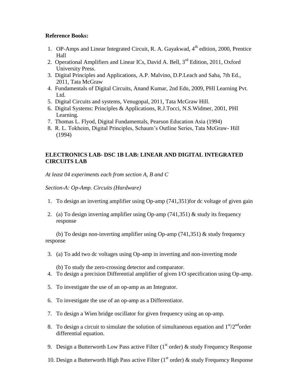#### **Reference Books:**

- 1. OP-Amps and Linear Integrated Circuit, R. A. Gayakwad, 4<sup>th</sup> edition, 2000, Prentice Hall
- 2. Operational Amplifiers and Linear ICs, David A. Bell, 3<sup>rd</sup> Edition, 2011, Oxford University Press.
- 3. Digital Principles and Applications, A.P. Malvino, D.P.Leach and Saha, 7th Ed., 2011, Tata McGraw
- 4. Fundamentals of Digital Circuits, Anand Kumar, 2nd Edn, 2009, PHI Learning Pvt. Ltd.
- 5. Digital Circuits and systems, Venugopal, 2011, Tata McGraw Hill.
- 6. Digital Systems: Principles & Applications, R.J.Tocci, N.S.Widmer, 2001, PHI Learning.
- 7. Thomas L. Flyod, Digital Fundamentals, Pearson Education Asia (1994)
- 8. R. L. Tokheim, Digital Principles, Schaum's Outline Series, Tata McGraw- Hill (1994)

# **ELECTRONICS LAB- DSC 1B LAB: LINEAR AND DIGITAL INTEGRATED CIRCUITS LAB**

*At least 04 experiments each from section A, B and C*

*Section-A: Op-Amp. Circuits (Hardware)*

- 1. To design an inverting amplifier using Op-amp (741,351)for dc voltage of given gain
- 2. (a) To design inverting amplifier using Op-amp (741,351) & study its frequency response

(b) To design non-inverting amplifier using Op-amp (741,351) & study frequency response

3. (a) To add two dc voltages using Op-amp in inverting and non-inverting mode

(b) To study the zero-crossing detector and comparator.

- 4. To design a precision Differential amplifier of given I/O specification using Op-amp.
- 5. To investigate the use of an op-amp as an Integrator.
- 6. To investigate the use of an op-amp as a Differentiator.
- 7. To design a Wien bridge oscillator for given frequency using an op-amp.
- 8. To design a circuit to simulate the solution of simultaneous equation and  $1<sup>st</sup>/2<sup>nd</sup>$ order differential equation.
- 9. Design a Butterworth Low Pass active Filter ( $1<sup>st</sup>$  order) & study Frequency Response
- 10. Design a Butterworth High Pass active Filter ( $1<sup>st</sup>$  order) & study Frequency Response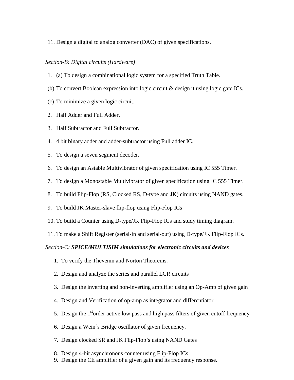#### 11. Design a digital to analog converter (DAC) of given specifications.

#### *Section-B: Digital circuits (Hardware)*

- 1. (a) To design a combinational logic system for a specified Truth Table.
- (b) To convert Boolean expression into logic circuit & design it using logic gate ICs.
- (c) To minimize a given logic circuit.
- 2. Half Adder and Full Adder.
- 3. Half Subtractor and Full Subtractor.
- 4. 4 bit binary adder and adder-subtractor using Full adder IC.
- 5. To design a seven segment decoder.
- 6. To design an Astable Multivibrator of given specification using IC 555 Timer.
- 7. To design a Monostable Multivibrator of given specification using IC 555 Timer.
- 8. To build Flip-Flop (RS, Clocked RS, D-type and JK) circuits using NAND gates.
- 9. To build JK Master-slave flip-flop using Flip-Flop ICs
- 10. To build a Counter using D-type/JK Flip-Flop ICs and study timing diagram.
- 11. To make a Shift Register (serial-in and serial-out) using D-type/JK Flip-Flop ICs.

#### *Section-C: SPICE/MULTISIM simulations for electronic circuits and devices*

- 1. To verify the Thevenin and Norton Theorems.
- 2. Design and analyze the series and parallel LCR circuits
- 3. Design the inverting and non-inverting amplifier using an Op-Amp of given gain
- 4. Design and Verification of op-amp as integrator and differentiator
- 5. Design the  $1<sup>st</sup>$  order active low pass and high pass filters of given cutoff frequency
- 6. Design a Wein`s Bridge oscillator of given frequency.
- 7. Design clocked SR and JK Flip-Flop`s using NAND Gates
- 8. Design 4-bit asynchronous counter using Flip-Flop ICs
- 9. Design the CE amplifier of a given gain and its frequency response.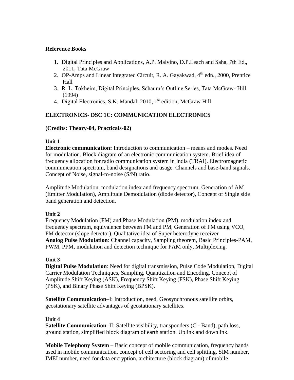# **Reference Books**

- 1. Digital Principles and Applications, A.P. Malvino, D.P.Leach and Saha, 7th Ed., 2011, Tata McGraw
- 2. OP-Amps and Linear Integrated Circuit, R. A. Gayakwad,  $4<sup>th</sup>$  edn., 2000, Prentice Hall
- 3. R. L. Tokheim, Digital Principles, Schaum's Outline Series, Tata McGraw- Hill (1994)
- 4. Digital Electronics, S.K. Mandal, 2010, 1<sup>st</sup> edition, McGraw Hill

# **ELECTRONICS- DSC 1C: COMMUNICATION ELECTRONICS**

# **(Credits: Theory-04, Practicals-02)**

# **Unit 1**

**Electronic communication:** Introduction to communication – means and modes. Need for modulation. Block diagram of an electronic communication system. Brief idea of frequency allocation for radio communication system in India (TRAI). Electromagnetic communication spectrum, band designations and usage. Channels and base-band signals. Concept of Noise, signal-to-noise (S/N) ratio.

Amplitude Modulation, modulation index and frequency spectrum. Generation of AM (Emitter Modulation), Amplitude Demodulation (diode detector), Concept of Single side band generation and detection.

# **Unit 2**

Frequency Modulation (FM) and Phase Modulation (PM), modulation index and frequency spectrum, equivalence between FM and PM, Generation of FM using VCO, FM detector (slope detector), Qualitative idea of Super heterodyne receiver **Analog Pulse Modulation**: Channel capacity, Sampling theorem, Basic Principles-PAM, PWM, PPM, modulation and detection technique for PAM only, Multiplexing.

# **Unit 3**

**Digital Pulse Modulation**: Need for digital transmission, Pulse Code Modulation, Digital Carrier Modulation Techniques, Sampling, Quantization and Encoding. Concept of Amplitude Shift Keying (ASK), Frequency Shift Keying (FSK), Phase Shift Keying (PSK), and Binary Phase Shift Keying (BPSK).

**Satellite Communication**–I: Introduction, need, Geosynchronous satellite orbits, geostationary satellite advantages of geostationary satellites.

# **Unit 4**

**Satellite Communication–II:** Satellite visibility, transponders (C - Band), path loss, ground station, simplified block diagram of earth station. Uplink and downlink.

**Mobile Telephony System** – Basic concept of mobile communication, frequency bands used in mobile communication, concept of cell sectoring and cell splitting, SIM number, IMEI number, need for data encryption, architecture (block diagram) of mobile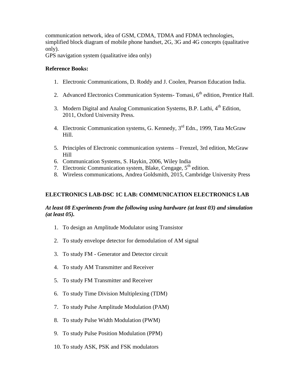communication network, idea of GSM, CDMA, TDMA and FDMA technologies, simplified block diagram of mobile phone handset, 2G, 3G and 4G concepts (qualitative only).

GPS navigation system (qualitative idea only)

#### **Reference Books:**

- 1. Electronic Communications, D. Roddy and J. Coolen, Pearson Education India.
- 2. Advanced Electronics Communication Systems- Tomasi, 6<sup>th</sup> edition, Prentice Hall.
- 3. Modern Digital and Analog Communication Systems, B.P. Lathi, 4<sup>th</sup> Edition, 2011, Oxford University Press.
- 4. Electronic Communication systems, G. Kennedy, 3<sup>rd</sup> Edn., 1999, Tata McGraw Hill.
- 5. Principles of Electronic communication systems Frenzel, 3rd edition, McGraw Hill
- 6. Communication Systems, S. Haykin, 2006, Wiley India
- 7. Electronic Communication system, Blake, Cengage,  $5<sup>th</sup>$  edition.
- 8. Wireless communications, Andrea Goldsmith, 2015, Cambridge University Press

# **ELECTRONICS LAB-DSC 1C LAB: COMMUNICATION ELECTRONICS LAB**

#### *At least 08 Experiments from the following using hardware (at least 03) and simulation (at least 05).*

- 1. To design an Amplitude Modulator using Transistor
- 2. To study envelope detector for demodulation of AM signal
- 3. To study FM Generator and Detector circuit
- 4. To study AM Transmitter and Receiver
- 5. To study FM Transmitter and Receiver
- 6. To study Time Division Multiplexing (TDM)
- 7. To study Pulse Amplitude Modulation (PAM)
- 8. To study Pulse Width Modulation (PWM)
- 9. To study Pulse Position Modulation (PPM)
- 10. To study ASK, PSK and FSK modulators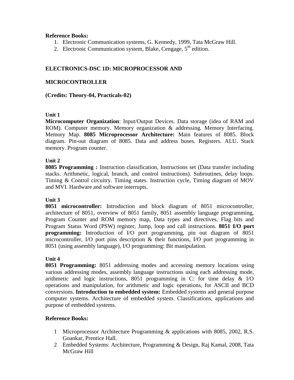#### **Reference Books:**

- 1. Electronic Communication systems, G. Kennedy, 1999, Tata McGraw Hill.
- 2. Electronic Communication system, Blake, Cengage,  $5<sup>th</sup>$  edition.

# **ELECTRONICS-DSC 1D: MICROPROCESSOR AND**

#### **MICROCONTROLLER**

#### **(Credits: Theory-04, Practicals-02)**

#### **Unit 1**

**Microcomputer Organization**: Input/Output Devices. Data storage (idea of RAM and ROM). Computer memory. Memory organization & addressing. Memory Interfacing. Memory Map. **8085 Microprocessor Architecture:** Main features of 8085. Block diagram. Pin-out diagram of 8085. Data and address buses. Registers. ALU. Stack memory. Program counter.

#### **Unit 2**

**8085 Programming :** Instruction classification, Instructions set (Data transfer including stacks. Arithmetic, logical, branch, and control instructions). Subroutines, delay loops. Timing & Control circuitry. Timing states. Instruction cycle, Timing diagram of MOV and MVI. Hardware and software interrupts.

#### **Unit 3**

**8051 microcontroller:** Introduction and block diagram of 8051 microcontroller, architecture of 8051, overview of 8051 family, 8051 assembly language programming, Program Counter and ROM memory map, Data types and directives, Flag bits and Program Status Word (PSW) register, Jump, loop and call instructions. **8051 I/O port programming:** Introduction of I/O port programming, pin out diagram of 8051 microcontroller, I/O port pins description & their functions, I/O port programming in 8051 (using assembly language), I/O programming: Bit manipulation.

# **Unit 4**

**8051 Programming:** 8051 addressing modes and accessing memory locations using various addressing modes, assembly language instructions using each addressing mode, arithmetic and logic instructions, 8051 programming in C: for time delay & I/O operations and manipulation, for arithmetic and logic operations, for ASCII and BCD conversions. **Introduction to embedded system:** Embedded systems and general purpose computer systems. Architecture of embedded system. Classifications, applications and purpose of embedded systems.

- 1 Microprocessor Architecture Programming & applications with 8085, 2002, R.S. Goankar, Prentice Hall.
- 2 Embedded Systems: Architecture, Programming & Design, Raj Kamal, 2008, Tata McGraw Hill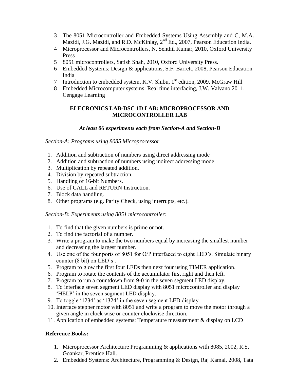- 3 The 8051 Microcontroller and Embedded Systems Using Assembly and C, M.A. Mazidi, J.G. Mazidi, and R.D. McKinlay, 2<sup>nd</sup> Ed., 2007, Pearson Education India.
- 4 Microprocessor and Microcontrollers, N. Senthil Kumar, 2010, Oxford University Press
- 5 8051 microcontrollers, Satish Shah, 2010, Oxford University Press.
- 6 Embedded Systems: Design & applications, S.F. Barrett, 2008, Pearson Education India
- 7 Introduction to embedded system, K.V. Shibu, 1<sup>st</sup> edition, 2009, McGraw Hill
- 8 Embedded Microcomputer systems: Real time interfacing, J.W. Valvano 2011, Cengage Learning

# **ELECRONICS LAB-DSC 1D LAB: MICROPROCESSOR AND MICROCONTROLLER LAB**

# *At least 06 experiments each from Section-A and Section-B*

*Section-A: Programs using 8085 Microprocessor*

- 1. Addition and subtraction of numbers using direct addressing mode
- 2. Addition and subtraction of numbers using indirect addressing mode
- 3. Multiplication by repeated addition.
- 4. Division by repeated subtraction.
- 5. Handling of 16-bit Numbers.
- 6. Use of CALL and RETURN Instruction.
- 7. Block data handling.
- 8. Other programs (e.g. Parity Check, using interrupts, etc.).

*Section-B: Experiments using 8051 microcontroller:*

- 1. To find that the given numbers is prime or not.
- 2. To find the factorial of a number.
- 3. Write a program to make the two numbers equal by increasing the smallest number and decreasing the largest number.
- 4. Use one of the four ports of 8051 for O/P interfaced to eight LED's. Simulate binary counter (8 bit) on LED's .
- 5. Program to glow the first four LEDs then next four using TIMER application.
- 6. Program to rotate the contents of the accumulator first right and then left.
- 7. Program to run a countdown from 9-0 in the seven segment LED display.
- 8. To interface seven segment LED display with 8051 microcontroller and display ‗HELP' in the seven segment LED display.
- 9. To toggle '1234' as '1324' in the seven segment LED display.
- 10. Interface stepper motor with 8051 and write a program to move the motor through a given angle in clock wise or counter clockwise direction.
- 11. Application of embedded systems: Temperature measurement & display on LCD

- 1. Microprocessor Architecture Programming & applications with 8085, 2002, R.S. Goankar, Prentice Hall.
- 2. Embedded Systems: Architecture, Programming & Design, Raj Kamal, 2008, Tata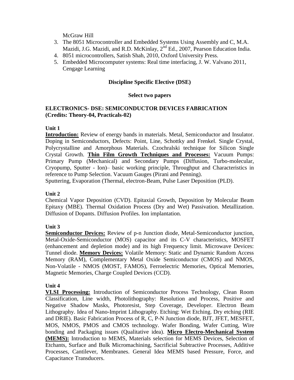McGraw Hill

- 3. The 8051 Microcontroller and Embedded Systems Using Assembly and C, M.A. Mazidi, J.G. Mazidi, and R.D. McKinlay, 2<sup>nd</sup> Ed., 2007, Pearson Education India.
- 4. 8051 microcontrollers, Satish Shah, 2010, Oxford University Press.
- 5. Embedded Microcomputer systems: Real time interfacing, J. W. Valvano 2011, Cengage Learning

#### **Discipline Specific Elective (DSE)**

#### **Select two papers**

#### **ELECTRONICS- DSE: SEMICONDUCTOR DEVICES FABRICATION (Credits: Theory-04, Practicals-02)**

#### **Unit 1**

**Introduction:** Review of energy bands in materials. Metal, Semiconductor and Insulator. Doping in Semiconductors, Defects: Point, Line, Schottky and Frenkel. Single Crystal, Polycrystalline and Amorphous Materials. Czochralski technique for Silicon Single Crystal Growth. **Thin Film Growth Techniques and Processes:** Vacuum Pumps: Primary Pump (Mechanical) and Secondary Pumps (Diffusion, Turbo-molecular, Cryopump, Sputter - Ion)– basic working principle, Throughput and Characteristics in reference to Pump Selection. Vacuum Gauges (Pirani and Penning).

Sputtering, Evaporation (Thermal, electron-Beam, Pulse Laser Deposition (PLD).

#### **Unit 2**

Chemical Vapor Deposition (CVD). Epitaxial Growth, Deposition by Molecular Beam Epitaxy (MBE). Thermal Oxidation Process (Dry and Wet) Passivation. Metallization. Diffusion of Dopants. Diffusion Profiles. Ion implantation.

#### **Unit 3**

**Semiconductor Devices:** Review of p-n Junction diode, Metal-Semiconductor junction, Metal-Oxide-Semiconductor (MOS) capacitor and its C-V characteristics, MOSFET (enhancement and depletion mode) and its high Frequency limit. Microwave Devices: Tunnel diode. **Memory Devices:** Volatile Memory: Static and Dynamic Random Access Memory (RAM), Complementary Metal Oxide Semiconductor (CMOS) and NMOS, Non-Volatile - NMOS (MOST, FAMOS), Ferroelectric Memories, Optical Memories, Magnetic Memories, Charge Coupled Devices (CCD).

#### **Unit 4**

**VLSI Processing:** Introduction of Semiconductor Process Technology, Clean Room Classification, Line width, Photolithography: Resolution and Process, Positive and Negative Shadow Masks, Photoresist, Step Coverage, Developer. Electron Beam Lithography. Idea of Nano-Imprint Lithography. Etching: Wet Etching. Dry etching (RIE and DRIE). Basic Fabrication Process of R, C, P-N Junction diode, BJT, JFET, MESFET, MOS, NMOS, PMOS and CMOS technology. Wafer Bonding, Wafer Cutting, Wire bonding and Packaging issues (Qualitative idea). **Micro Electro-Mechanical System (MEMS):** Introduction to MEMS, Materials selection for MEMS Devices, Selection of Etchants, Surface and Bulk Micromachining, Sacrificial Subtractive Processes, Additive Processes, Cantilever, Membranes. General Idea MEMS based Pressure, Force, and Capacitance Transducers.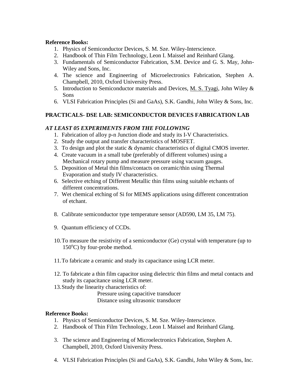#### **Reference Books:**

- 1. Physics of Semiconductor Devices, S. M. Sze. Wiley-Interscience.
- 2. Handbook of Thin Film Technology, Leon I. Maissel and Reinhard Glang.
- 3. Fundamentals of Semiconductor Fabrication, S.M. Device and G. S. May, John-Wiley and Sons, Inc.
- 4. The science and Engineering of Microelectronics Fabrication, Stephen A. Champbell, 2010, Oxford University Press.
- 5. Introduction to Semiconductor materials and Devices, M. S. Tyagi, John Wiley & Sons
- 6. VLSI Fabrication Principles (Si and GaAs), S.K. Gandhi, John Wiley & Sons, Inc.

# **PRACTICALS- DSE LAB: SEMICONDUCTOR DEVICES FABRICATION LAB**

#### *AT LEAST 05 EXPERIMENTS FROM THE FOLLOWING*

- 1. Fabrication of alloy p-n Junction diode and study its I-V Characteristics.
- 2. Study the output and transfer characteristics of MOSFET.
- 3. To design and plot the static & dynamic characteristics of digital CMOS inverter.
- 4. Create vacuum in a small tube (preferably of different volumes) using a Mechanical rotary pump and measure pressure using vacuum gauges.
- 5. Deposition of Metal thin films/contacts on ceramic/thin using Thermal Evaporation and study IV characteristics.
- 6. Selective etching of Different Metallic thin films using suitable etchants of different concentrations.
- 7. Wet chemical etching of Si for MEMS applications using different concentration of etchant.
- 8. Calibrate semiconductor type temperature sensor (AD590, LM 35, LM 75).
- 9. Quantum efficiency of CCDs.
- 10.To measure the resistivity of a semiconductor (Ge) crystal with temperature (up to  $150^{\circ}$ C) by four-probe method.
- 11.To fabricate a ceramic and study its capacitance using LCR meter.
- 12. To fabricate a thin film capacitor using dielectric thin films and metal contacts and study its capacitance using LCR meter.
- 13.Study the linearity characteristics of:

Pressure using capacitive transducer Distance using ultrasonic transducer

- 1. Physics of Semiconductor Devices, S. M. Sze. Wiley-Interscience.
- 2. Handbook of Thin Film Technology, Leon I. Maissel and Reinhard Glang.
- 3. The science and Engineering of Microelectronics Fabrication, Stephen A. Champbell, 2010, Oxford University Press.
- 4. VLSI Fabrication Principles (Si and GaAs), S.K. Gandhi, John Wiley & Sons, Inc.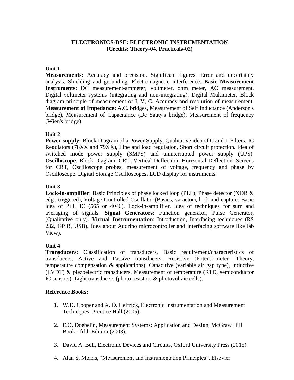#### **ELECTRONICS-DSE: ELECTRONIC INSTRUMENTATION (Credits: Theory-04, Practicals-02)**

#### **Unit 1**

**Measurements:** Accuracy and precision. Significant figures. Error and uncertainty analysis. Shielding and grounding. Electromagnetic Interference. **Basic Measurement Instruments**: DC measurement-ammeter, voltmeter, ohm meter, AC measurement, Digital voltmeter systems (integrating and non-integrating). Digital Multimeter; Block diagram principle of measurement of I, V, C. Accuracy and resolution of measurement. M**easurement of Impedance:** A.C. bridges, Measurement of Self Inductance (Anderson's bridge), Measurement of Capacitance (De Sauty's bridge), Measurement of frequency (Wien's bridge).

# **Unit 2**

**Power supply:** Block Diagram of a Power Supply, Qualitative idea of C and L Filters. IC Regulators (78XX and 79XX), Line and load regulation, Short circuit protection. Idea of switched mode power supply (SMPS) and uninterrupted power supply (UPS). **Oscilloscope**: Block Diagram, CRT, Vertical Deflection, Horizontal Deflection. Screens for CRT, Oscilloscope probes, measurement of voltage, frequency and phase by Oscilloscope. Digital Storage Oscilloscopes. LCD display for instruments.

# **Unit 3**

**Lock-in-amplifier**: Basic Principles of phase locked loop (PLL), Phase detector (XOR & edge triggered), Voltage Controlled Oscillator (Basics, varactor), lock and capture. Basic idea of PLL IC (565 or 4046). Lock-in-amplifier, Idea of techniques for sum and averaging of signals. **Signal Generators**: Function generator, Pulse Generator, (Qualitative only). **Virtual Instrumentation**: Introduction, Interfacing techniques (RS 232, GPIB, USB), Idea about Audrino microcontroller and interfacing software like lab View).

# **Unit 4**

**Transducers**: Classification of transducers, Basic requirement/characteristics of transducers, Active and Passive transducers, Resistive (Potentiometer- Theory, temperature compensation & applications), Capacitive (variable air gap type), Inductive (LVDT) & piezoelectric transducers. Measurement of temperature (RTD, semiconductor IC sensors), Light transducers (photo resistors & photovoltaic cells).

- 1. W.D. Cooper and A. D. Helfrick, Electronic Instrumentation and Measurement Techniques, Prentice Hall (2005).
- 2. E.O. Doebelin, Measurement Systems: Application and Design, McGraw Hill Book - fifth Edition (2003).
- 3. David A. Bell, Electronic Devices and Circuits, Oxford University Press (2015).
- 4. Alan S. Morris, "Measurement and Instrumentation Principles", Elsevier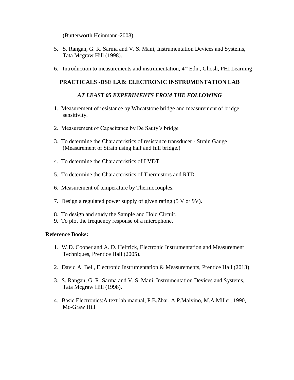(Butterworth Heinmann-2008).

- 5. S. Rangan, G. R. Sarma and V. S. Mani, Instrumentation Devices and Systems, Tata Mcgraw Hill (1998).
- 6. Introduction to measurements and instrumentation,  $4<sup>th</sup>$  Edn., Ghosh, PHI Learning

#### **PRACTICALS -DSE LAB: ELECTRONIC INSTRUMENTATION LAB**

#### *AT LEAST 05 EXPERIMENTS FROM THE FOLLOWING*

- 1. Measurement of resistance by Wheatstone bridge and measurement of bridge sensitivity.
- 2. Measurement of Capacitance by De Sauty's bridge
- 3. To determine the Characteristics of resistance transducer Strain Gauge (Measurement of Strain using half and full bridge.)
- 4. To determine the Characteristics of LVDT.
- 5. To determine the Characteristics of Thermistors and RTD.
- 6. Measurement of temperature by Thermocouples.
- 7. Design a regulated power supply of given rating (5 V or 9V).
- 8. To design and study the Sample and Hold Circuit.
- 9. To plot the frequency response of a microphone.

- 1. W.D. Cooper and A. D. Helfrick, Electronic Instrumentation and Measurement Techniques, Prentice Hall (2005).
- 2. David A. Bell, Electronic Instrumentation & Measurements, Prentice Hall (2013)
- 3. S. Rangan, G. R. Sarma and V. S. Mani, Instrumentation Devices and Systems, Tata Mcgraw Hill (1998).
- 4. Basic Electronics:A text lab manual, P.B.Zbar, A.P.Malvino, M.A.Miller, 1990, Mc-Graw Hill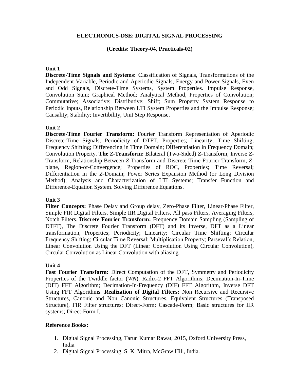#### **ELECTRONICS-DSE: DIGITAL SIGNAL PROCESSING**

#### **(Credits: Theory-04, Practicals-02)**

#### **Unit 1**

**Discrete-Time Signals and Systems:** Classification of Signals, Transformations of the Independent Variable, Periodic and Aperiodic Signals, Energy and Power Signals, Even and Odd Signals, Discrete-Time Systems, System Properties. Impulse Response, Convolution Sum; Graphical Method; Analytical Method, Properties of Convolution; Commutative; Associative; Distributive; Shift; Sum Property System Response to Periodic Inputs, Relationship Between LTI System Properties and the Impulse Response; Causality; Stability; Invertibility, Unit Step Response.

# **Unit 2**

**Discrete-Time Fourier Transform:** Fourier Transform Representation of Aperiodic Discrete-Time Signals, Periodicity of DTFT, Properties; Linearity; Time Shifting; Frequency Shifting; Differencing in Time Domain; Differentiation in Frequency Domain; Convolution Property. **The** *Z***-Transform:** Bilateral (Two-Sided) *Z*-Transform, Inverse *Z*-Transform, Relationship Between *Z*-Transform and Discrete-Time Fourier Transform, *Z*plane, Region-of-Convergence; Properties of ROC, Properties; Time Reversal; Differentiation in the *Z*-Domain; Power Series Expansion Method (or Long Division Method); Analysis and Characterization of LTI Systems; Transfer Function and Difference-Equation System. Solving Difference Equations.

#### **Unit 3**

**Filter Concepts:** Phase Delay and Group delay, Zero-Phase Filter, Linear-Phase Filter, Simple FIR Digital Filters, Simple IIR Digital Filters, All pass Filters, Averaging Filters, Notch Filters. **Discrete Fourier Transform:** Frequency Domain Sampling (Sampling of DTFT), The Discrete Fourier Transform (DFT) and its Inverse, DFT as a Linear transformation, Properties; Periodicity; Linearity; Circular Time Shifting; Circular Frequency Shifting; Circular Time Reversal; Multiplication Property; Parseval's Relation, Linear Convolution Using the DFT (Linear Convolution Using Circular Convolution), Circular Convolution as Linear Convolution with aliasing.

#### **Unit 4**

Fast Fourier Transform: Direct Computation of the DFT, Symmetry and Periodicity Properties of the Twiddle factor (*WN*), Radix-2 FFT Algorithms; Decimation-In-Time (DIT) FFT Algorithm; Decimation-In-Frequency (DIF) FFT Algorithm, Inverse DFT Using FFT Algorithms. **Realization of Digital Filters:** Non Recursive and Recursive Structures, Canonic and Non Canonic Structures, Equivalent Structures (Transposed Structure), FIR Filter structures; Direct-Form; Cascade-Form; Basic structures for IIR systems; Direct-Form I.

- 1. Digital Signal Processing, Tarun Kumar Rawat, 2015, Oxford University Press, India
- 2. Digital Signal Processing, S. K. Mitra, McGraw Hill, India.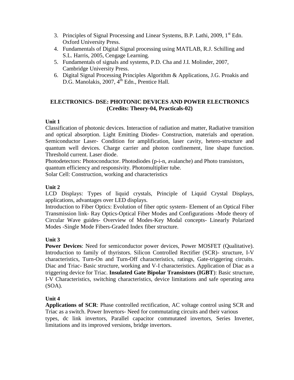- 3. Principles of Signal Processing and Linear Systems, B.P. Lathi, 2009,  $1<sup>st</sup>$  Edn. Oxford University Press.
- 4. Fundamentals of Digital Signal processing using MATLAB, R.J. Schilling and S.L. Harris, 2005, Cengage Learning.
- 5. Fundamentals of signals and systems, P.D. Cha and J.I. Molinder, 2007, Cambridge University Press.
- 6. Digital Signal Processing Principles Algorithm & Applications, J.G. Proakis and D.G. Manolakis, 2007, 4<sup>th</sup> Edn., Prentice Hall.

# **ELECTRONICS- DSE: PHOTONIC DEVICES AND POWER ELECTRONICS (Credits: Theory-04, Practicals-02)**

# **Unit 1**

Classification of photonic devices. Interaction of radiation and matter, Radiative transition and optical absorption. Light Emitting Diodes- Construction, materials and operation. Semiconductor Laser- Condition for amplification, laser cavity, hetero-structure and quantum well devices. Charge carrier and photon confinement, line shape function. Threshold current. Laser diode.

Photodetectors: Photoconductor. Photodiodes (p-i-n, avalanche) and Photo transistors, quantum efficiency and responsivity. Photomultiplier tube.

Solar Cell: Construction, working and characteristics

# **Unit 2**

LCD Displays: Types of liquid crystals, Principle of Liquid Crystal Displays, applications, advantages over LED displays.

Introduction to Fiber Optics: Evolution of fiber optic system- Element of an Optical Fiber Transmission link- Ray Optics-Optical Fiber Modes and Configurations -Mode theory of Circular Wave guides- Overview of Modes-Key Modal concepts- Linearly Polarized Modes -Single Mode Fibers-Graded Index fiber structure.

# **Unit 3**

**Power Devices**: Need for semiconductor power devices, Power MOSFET (Qualitative). Introduction to family of thyristors. Silicon Controlled Rectifier (SCR)- structure, I-V characteristics, Turn-On and Turn-Off characteristics, ratings, Gate-triggering circuits. Diac and Triac- Basic structure, working and V-I characteristics. Application of Diac as a triggering device for Triac. **Insulated Gate Bipolar Transistors (IGBT**): Basic structure, I-V Characteristics, switching characteristics, device limitations and safe operating area (SOA).

# **Unit 4**

**Applications of SCR**: Phase controlled rectification, AC voltage control using SCR and Triac as a switch. Power Invertors- Need for commutating circuits and their various types, dc link invertors, Parallel capacitor commutated invertors, Series Inverter, limitations and its improved versions, bridge invertors.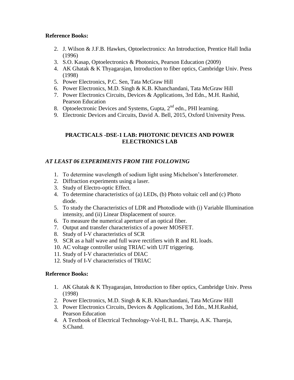#### **Reference Books:**

- 2. J. Wilson & J.F.B. Hawkes, Optoelectronics: An Introduction, Prentice Hall India (1996)
- 3. S.O. Kasap, Optoelectronics & Photonics, Pearson Education (2009)
- 4. AK Ghatak & K Thyagarajan, Introduction to fiber optics, Cambridge Univ. Press (1998)
- 5. Power Electronics, P.C. Sen, Tata McGraw Hill
- 6. Power Electronics, M.D. Singh & K.B. Khanchandani, Tata McGraw Hill
- 7. Power Electronics Circuits, Devices & Applications, 3rd Edn., M.H. Rashid, Pearson Education
- 8. Optoelectronic Devices and Systems, Gupta, 2<sup>nd</sup> edn., PHI learning.
- 9. Electronic Devices and Circuits, David A. Bell, 2015, Oxford University Press.

# **PRACTICALS -DSE-1 LAB: PHOTONIC DEVICES AND POWER ELECTRONICS LAB**

# *AT LEAST 06 EXPERIMENTS FROM THE FOLLOWING*

- 1. To determine wavelength of sodium light using Michelson's Interferometer.
- 2. Diffraction experiments using a laser.
- 3. Study of Electro-optic Effect.
- 4. To determine characteristics of (a) LEDs, (b) Photo voltaic cell and (c) Photo diode.
- 5. To study the Characteristics of LDR and Photodiode with (i) Variable Illumination intensity, and (ii) Linear Displacement of source.
- 6. To measure the numerical aperture of an optical fiber.
- 7. Output and transfer characteristics of a power MOSFET.
- 8. Study of I-V characteristics of SCR
- 9. SCR as a half wave and full wave rectifiers with R and RL loads.
- 10. AC voltage controller using TRIAC with UJT triggering.
- 11. Study of I-V characteristics of DIAC
- 12. Study of I-V characteristics of TRIAC

- 1. AK Ghatak & K Thyagarajan, Introduction to fiber optics, Cambridge Univ. Press (1998)
- 2. Power Electronics, M.D. Singh & K.B. Khanchandani, Tata McGraw Hill
- 3. Power Electronics Circuits, Devices & Applications, 3rd Edn., M.H.Rashid, Pearson Education
- 4. A Textbook of Electrical Technology-Vol-II, B.L. Thareja, A.K. Thareja, S.Chand.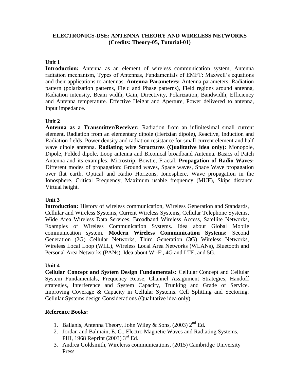# **ELECTRONICS-DSE: ANTENNA THEORY AND WIRELESS NETWORKS (Credits: Theory-05, Tutorial-01)**

#### **Unit 1**

**Introduction:** Antenna as an element of wireless communication system, Antenna radiation mechanism, Types of Antennas, Fundamentals of EMFT: Maxwell's equations and their applications to antennas. **Antenna Parameters:** Antenna parameters: Radiation pattern (polarization patterns, Field and Phase patterns), Field regions around antenna, Radiation intensity, Beam width, Gain, Directivity, Polarization, Bandwidth, Efficiency and Antenna temperature. Effective Height and Aperture, Power delivered to antenna, Input impedance.

#### **Unit 2**

**Antenna as a Transmitter/Receiver:** Radiation from an infinitesimal small current element, Radiation from an elementary dipole (Hertzian dipole), Reactive, Induction and Radiation fields, Power density and radiation resistance for small current element and half wave dipole antenna. **Radiating wire Structures (Qualitative idea only):** Monopole, Dipole, Folded dipole, Loop antenna and Biconical broadband Antenna. Basics of Patch Antenna and its examples: Microstrip, Bowtie, Fractal. **Propagation of Radio Waves:**  Different modes of propagation: Ground waves, Space waves, Space Wave propagation over flat earth, Optical and Radio Horizons, Ionosphere, Wave propagation in the Ionosphere. Critical Frequency, Maximum usable frequency (MUF), Skips distance. Virtual height.

#### **Unit 3**

**Introduction:** History of wireless communication, Wireless Generation and Standards, Cellular and Wireless Systems, Current Wireless Systems, Cellular Telephone Systems, Wide Area Wireless Data Services, Broadband Wireless Access, Satellite Networks, Examples of Wireless Communication Systems. Idea about Global Mobile communication system. **Modern Wireless Communication Systems:** Second Generation (2G) Cellular Networks, Third Generation (3G) Wireless Networks, Wireless Local Loop (WLL), Wireless Local Area Networks (WLANs), Bluetooth and Personal Area Networks (PANs). Idea about Wi-Fi, 4G and LTE, and 5G.

#### **Unit 4**

**Cellular Concept and System Design Fundamentals:** Cellular Concept and Cellular System Fundamentals, Frequency Reuse, Channel Assignment Strategies, Handoff strategies, Interference and System Capacity, Trunking and Grade of Service. Improving Coverage & Capacity in Cellular Systems. Cell Splitting and Sectoring. Cellular Systems design Considerations (Qualitative idea only).

- 1. Ballanis, Antenna Theory, John Wiley & Sons,  $(2003)$   $2<sup>nd</sup>$  Ed.
- 2. Jordan and Balmain, E. C., Electro Magnetic Waves and Radiating Systems, PHI, 1968 Reprint (2003) 3<sup>rd</sup> Ed.
- 3. Andrea Goldsmith, Wirelerss communications, (2015) Cambridge University Press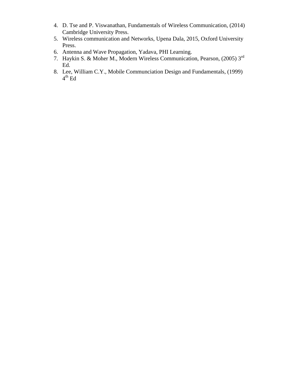- 4. D. Tse and P. Viswanathan, Fundamentals of Wireless Communication, (2014) Cambridge University Press.
- 5. Wireless communication and Networks, Upena Dala, 2015, Oxford University Press.
- 6. Antenna and Wave Propagation, Yadava, PHI Learning.
- 7. Haykin S. & Moher M., Modern Wireless Communication, Pearson, (2005) 3rd Ed.
- 8. Lee, William C.Y., Mobile Communciation Design and Fundamentals, (1999)  $4^{\text{th}}$  Ed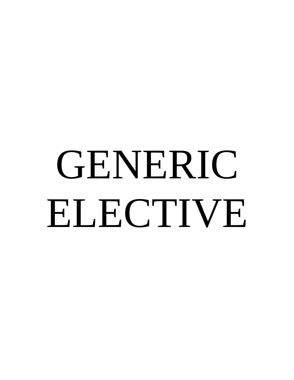# GENERIC ELECTIVE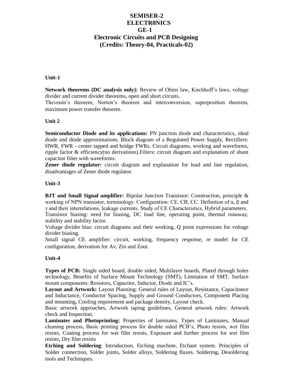# **SEMISER-2 ELECTR0NICS GE-1 Electronic Circuits and PCB Designing (Credits: Theory-04, Practicals-02)**

#### **Unit-1**

**Network theorems (DC analysis only):** Review of Ohms law, Kirchhoff's laws, voltage divider and current divider theorems, open and short circuits.

Thevenin's theorem, Norton's theorem and interconversion, superposition theorem, maximum power transfer theorem.

#### **Unit 2**

**Semiconductor Diode and its applications:** PN junction diode and characteristics*,* ideal diode and diode approximations. Block diagram of a Regulated Power Supply, Rectifiers: HWR, FWR - center tapped and bridge FWRs. Circuit diagrams, working and waveforms, ripple factor & efficiency(no derivations).Filters: circuit diagram and explanation of shunt capacitor filter with waveforms.

**Zener diode regulator:** circuit diagram and explanation for load and line regulation, disadvantages of Zener diode regulator.

#### **Unit-3**

**BJT and Small Signal amplifier:** Bipolar Junction Transistor: Construction, principle & working of NPN transistor, terminology. Configuration: CE, CB, CC. Definition of α, β and γ and their interrelations, leakage currents. Study of CE Characteristics, Hybrid parameters. Transistor biasing: need for biasing, DC load line, operating point, thermal runaway, stability and stability factor.

Voltage divider bias: circuit diagrams and their working, Q point expressions for voltage divider biasing.

Small signal CE amplifier: circuit, working, frequency response, re model for CE configuration, derivation for Av, Zin and Zout.

#### **Unit-4**

**Types of PCB:** Single sided board, double sided, Multilayer boards, Plated through holes technology, Benefits of Surface Mount Technology (SMT), Limitation of SMT, Surface mount components: Resistors, Capacitor, Inductor, Diode and IC's.

**Layout and Artwork:** Layout Planning: General rules of Layout, Resistance, Capacitance and Inductance, Conductor Spacing, Supply and Ground Conductors, Component Placing and mounting, Cooling requirement and package density, Layout check.

Basic artwork approaches, Artwork taping guidelines, General artwork rules: Artwork check and Inspection.

**Laminates and Photoprinting:** Properties of laminates, Types of Laminates, Manual cleaning process, Basic printing process for double sided PCB's, Photo resists, wet film resists, Coating process for wet film resists, Exposure and further process for wet film resists, Dry film resists

**Etching and Soldering**: Introduction, Etching machine, Etchant system. Principles of Solder connection, Solder joints, Solder alloys, Soldering fluxes. Soldering, Desoldering tools and Techniques.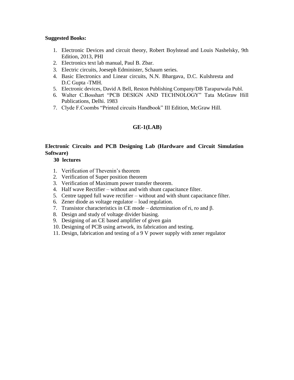#### **Suggested Books:**

- 1. Electronic Devices and circuit theory, Robert Boylstead and Louis Nashelsky, 9th Edition, 2013, PHI
- 2. Electronics text lab manual, Paul B. Zbar.
- 3. Electric circuits, Joeseph Edminister, Schaum series.
- 4. Basic Electronics and Linear circuits, N.N. Bhargava, D.C. Kulshresta and D.C Gupta -TMH.
- 5. Electronic devices, David A Bell, Reston Publishing Company/DB Tarapurwala Publ.
- 6. Walter C.Bosshart "PCB DESIGN AND TECHNOLOGY" Tata McGraw Hill Publications, Delhi. 1983
- 7. Clyde F.Coombs "Printed circuits Handbook" III Edition, McGraw Hill.

#### **GE-1(LAB)**

# **Electronic Circuits and PCB Designing Lab (Hardware and Circuit Simulation Software)**

#### **30 lectures**

- 1. Verification of Thevenin's theorem
- 2. Verification of Super position theorem
- 3. Verification of Maximum power transfer theorem.
- 4. Half wave Rectifier without and with shunt capacitance filter.
- 5. Centre tapped full wave rectifier without and with shunt capacitance filter.
- 6. Zener diode as voltage regulator load regulation.
- 7. Transistor characteristics in CE mode determination of ri, ro and β.
- 8. Design and study of voltage divider biasing.
- 9. Designing of an CE based amplifier of given gain
- 10. Designing of PCB using artwork, its fabrication and testing.
- 11. Design, fabrication and testing of a 9 V power supply with zener regulator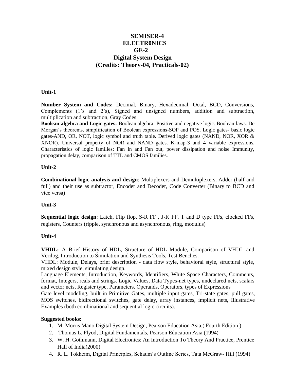# **SEMISER-4 ELECTR0NICS GE-2 Digital System Design (Credits: Theory-04, Practicals-02)**

#### **Unit-1**

**Number System and Codes:** Decimal, Binary, Hexadecimal, Octal, BCD, Conversions, Complements (1's and 2's), Signed and unsigned numbers, addition and subtraction, multiplication and subtraction, Gray Codes

**Boolean algebra and Logic gates:** Boolean algebra- Positive and negative logic. Boolean laws. De Morgan's theorems, simplification of Boolean expressions-SOP and POS. Logic gates- basic logic gates-AND, OR, NOT, logic symbol and truth table. Derived logic gates (NAND, NOR, XOR & XNOR). Universal property of NOR and NAND gates. K-map-3 and 4 variable expressions. Characteristics of logic families: Fan In and Fan out, power dissipation and noise Immunity, propagation delay, comparison of TTL and CMOS families.

#### **Unit-2**

**Combinational logic analysis and design**: Multiplexers and Demultiplexers, Adder (half and full) and their use as subtractor, Encoder and Decoder, Code Converter (Binary to BCD and vice versa)

#### **Unit-3**

**Sequential logic design**: Latch, Flip flop, S-R FF , J-K FF, T and D type FFs, clocked FFs, registers, Counters (ripple, synchronous and asynchronous, ring, modulus)

#### **Unit-4**

**VHDL:** A Brief History of HDL, Structure of HDL Module, Comparison of VHDL and Verilog, Introduction to Simulation and Synthesis Tools, Test Benches.

VHDL: Module, Delays, brief description - data flow style, behavioral style, structural style, mixed design style, simulating design.

Language Elements, Introduction, Keywords, Identifiers, White Space Characters, Comments, format, Integers, reals and strings. Logic Values, Data Types-net types, undeclared nets, scalars and vector nets, Register type, Parameters. Operands, Operators, types of Expressions

Gate level modeling, built in Primitive Gates, multiple input gates, Tri-state gates, pull gates, MOS switches, bidirectional switches, gate delay, array instances, implicit nets, Illustrative Examples (both combinational and sequential logic circuits).

#### **Suggested books:**

- 1. M. Morris Mano Digital System Design, Pearson Education Asia,( Fourth Edition )
- 2. Thomas L. Flyod, Digital Fundamentals, Pearson Education Asia (1994)
- 3. W. H. Gothmann, Digital Electronics: An Introduction To Theory And Practice, Prentice Hall of India(2000)
- 4. R. L. Tokheim, Digital Principles, Schaum's Outline Series, Tata McGraw- Hill (1994)